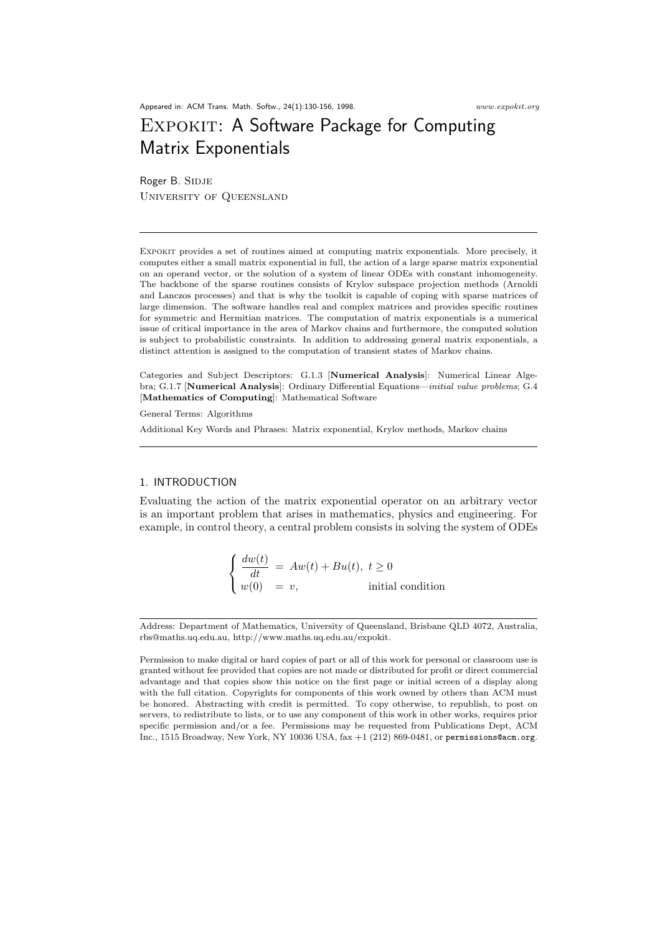Appeared in: ACM Trans. Math. Softw., 24(1):130-156, 1998. www.expokit.org

# EXPOKIT: A Software Package for Computing Matrix Exponentials

Roger B. SIDJE University of Queensland

Expokit provides a set of routines aimed at computing matrix exponentials. More precisely, it computes either a small matrix exponential in full, the action of a large sparse matrix exponential on an operand vector, or the solution of a system of linear ODEs with constant inhomogeneity. The backbone of the sparse routines consists of Krylov subspace projection methods (Arnoldi and Lanczos processes) and that is why the toolkit is capable of coping with sparse matrices of large dimension. The software handles real and complex matrices and provides specific routines for symmetric and Hermitian matrices. The computation of matrix exponentials is a numerical issue of critical importance in the area of Markov chains and furthermore, the computed solution is subject to probabilistic constraints. In addition to addressing general matrix exponentials, a distinct attention is assigned to the computation of transient states of Markov chains.

Categories and Subject Descriptors: G.1.3 [Numerical Analysis]: Numerical Linear Algebra; G.1.7 [Numerical Analysis]: Ordinary Differential Equations—initial value problems; G.4 [Mathematics of Computing]: Mathematical Software

General Terms: Algorithms

Additional Key Words and Phrases: Matrix exponential, Krylov methods, Markov chains

## 1. INTRODUCTION

Evaluating the action of the matrix exponential operator on an arbitrary vector is an important problem that arises in mathematics, physics and engineering. For example, in control theory, a central problem consists in solving the system of ODEs

$$
\begin{cases} \frac{dw(t)}{dt} = Aw(t) + Bu(t), \ t \ge 0\\ w(0) = v, \end{cases}
$$
 initial condition

Address: Department of Mathematics, University of Queensland, Brisbane QLD 4072, Australia, rbs@maths.uq.edu.au, http://www.maths.uq.edu.au/expokit.

Permission to make digital or hard copies of part or all of this work for personal or classroom use is granted without fee provided that copies are not made or distributed for profit or direct commercial advantage and that copies show this notice on the first page or initial screen of a display along with the full citation. Copyrights for components of this work owned by others than ACM must be honored. Abstracting with credit is permitted. To copy otherwise, to republish, to post on servers, to redistribute to lists, or to use any component of this work in other works, requires prior specific permission and/or a fee. Permissions may be requested from Publications Dept, ACM Inc., 1515 Broadway, New York, NY 10036 USA, fax +1 (212) 869-0481, or permissions@acm.org.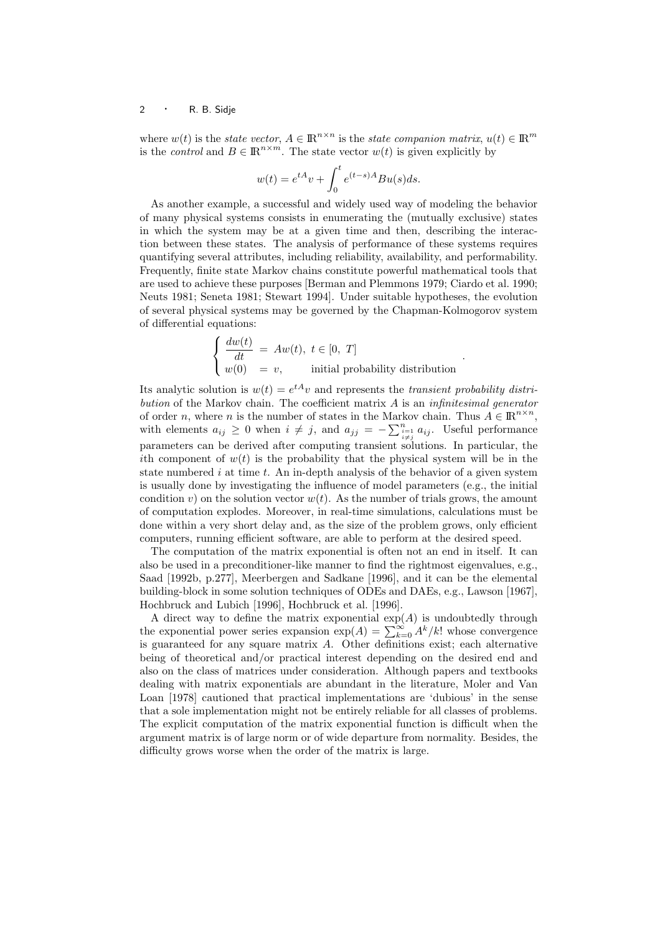where  $w(t)$  is the *state vector*,  $A \in \mathbb{R}^{n \times n}$  is the *state companion matrix*,  $u(t) \in \mathbb{R}^m$ is the *control* and  $B \in \mathbb{R}^{n \times m}$ . The state vector  $w(t)$  is given explicitly by

$$
w(t) = e^{tA}v + \int_0^t e^{(t-s)A}Bu(s)ds.
$$

As another example, a successful and widely used way of modeling the behavior of many physical systems consists in enumerating the (mutually exclusive) states in which the system may be at a given time and then, describing the interaction between these states. The analysis of performance of these systems requires quantifying several attributes, including reliability, availability, and performability. Frequently, finite state Markov chains constitute powerful mathematical tools that are used to achieve these purposes [Berman and Plemmons 1979; Ciardo et al. 1990; Neuts 1981; Seneta 1981; Stewart 1994]. Under suitable hypotheses, the evolution of several physical systems may be governed by the Chapman-Kolmogorov system of differential equations:

$$
\begin{cases}\n\frac{dw(t)}{dt} = Aw(t), \ t \in [0, T] \\
w(0) = v, \qquad \text{initial probability distribution}\n\end{cases}
$$

.

Its analytic solution is  $w(t) = e^{tA}v$  and represents the transient probability distribution of the Markov chain. The coefficient matrix  $A$  is an *infinitesimal generator* of order *n*, where *n* is the number of states in the Markov chain. Thus  $A \in \mathbb{R}^{n \times n}$ , of order *n*, where *n* is the number of states in the Markov chain. Thus  $A \in \mathbb{R}$ ,<br>with elements  $a_{ij} \geq 0$  when  $i \neq j$ , and  $a_{jj} = -\sum_{\substack{i=1 \ i \neq j}}^{n} a_{ij}$ . Useful performance parameters can be derived after computing transient solutions. In particular, the ith component of  $w(t)$  is the probability that the physical system will be in the state numbered  $i$  at time  $t$ . An in-depth analysis of the behavior of a given system is usually done by investigating the influence of model parameters (e.g., the initial condition v) on the solution vector  $w(t)$ . As the number of trials grows, the amount of computation explodes. Moreover, in real-time simulations, calculations must be done within a very short delay and, as the size of the problem grows, only efficient computers, running efficient software, are able to perform at the desired speed.

The computation of the matrix exponential is often not an end in itself. It can also be used in a preconditioner-like manner to find the rightmost eigenvalues, e.g., Saad [1992b, p.277], Meerbergen and Sadkane [1996], and it can be the elemental building-block in some solution techniques of ODEs and DAEs, e.g., Lawson [1967], Hochbruck and Lubich [1996], Hochbruck et al. [1996].

A direct way to define the matrix exponential  $exp(A)$  is undoubtedly through A direct way to define the matrix exponential  $\exp(A)$  is undoubtedly through<br>the exponential power series expansion  $\exp(A) = \sum_{k=0}^{\infty} A^k / k!$  whose convergence is guaranteed for any square matrix  $A$ . Other definitions exist; each alternative being of theoretical and/or practical interest depending on the desired end and also on the class of matrices under consideration. Although papers and textbooks dealing with matrix exponentials are abundant in the literature, Moler and Van Loan [1978] cautioned that practical implementations are 'dubious' in the sense that a sole implementation might not be entirely reliable for all classes of problems. The explicit computation of the matrix exponential function is difficult when the argument matrix is of large norm or of wide departure from normality. Besides, the difficulty grows worse when the order of the matrix is large.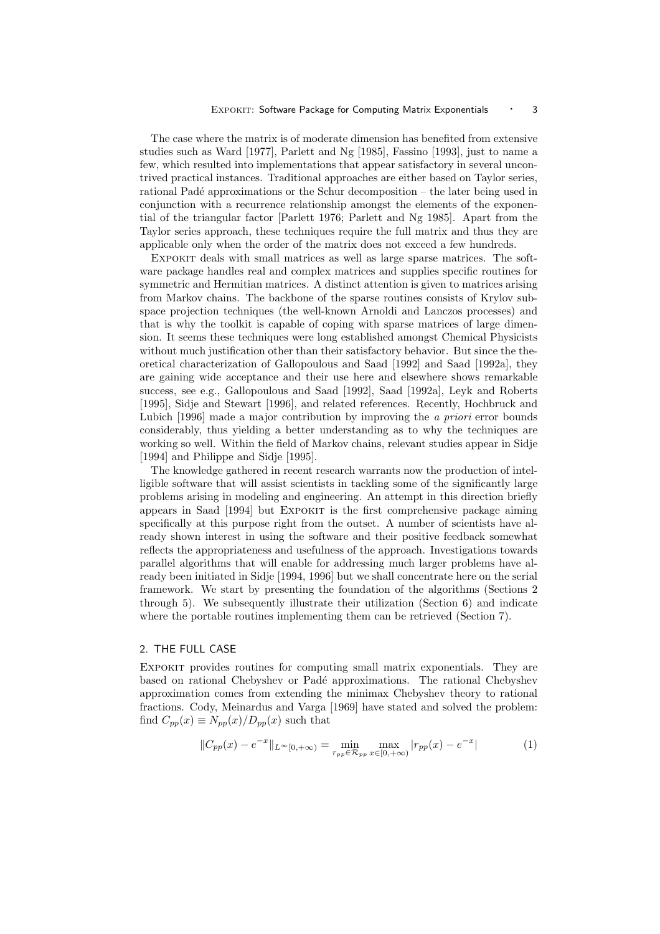The case where the matrix is of moderate dimension has benefited from extensive studies such as Ward [1977], Parlett and Ng [1985], Fassino [1993], just to name a few, which resulted into implementations that appear satisfactory in several uncontrived practical instances. Traditional approaches are either based on Taylor series, rational Padé approximations or the Schur decomposition – the later being used in conjunction with a recurrence relationship amongst the elements of the exponential of the triangular factor [Parlett 1976; Parlett and Ng 1985]. Apart from the Taylor series approach, these techniques require the full matrix and thus they are applicable only when the order of the matrix does not exceed a few hundreds.

Expokit deals with small matrices as well as large sparse matrices. The software package handles real and complex matrices and supplies specific routines for symmetric and Hermitian matrices. A distinct attention is given to matrices arising from Markov chains. The backbone of the sparse routines consists of Krylov subspace projection techniques (the well-known Arnoldi and Lanczos processes) and that is why the toolkit is capable of coping with sparse matrices of large dimension. It seems these techniques were long established amongst Chemical Physicists without much justification other than their satisfactory behavior. But since the theoretical characterization of Gallopoulous and Saad [1992] and Saad [1992a], they are gaining wide acceptance and their use here and elsewhere shows remarkable success, see e.g., Gallopoulous and Saad [1992], Saad [1992a], Leyk and Roberts [1995], Sidje and Stewart [1996], and related references. Recently, Hochbruck and Lubich [1996] made a major contribution by improving the a priori error bounds considerably, thus yielding a better understanding as to why the techniques are working so well. Within the field of Markov chains, relevant studies appear in Sidje [1994] and Philippe and Sidje [1995].

The knowledge gathered in recent research warrants now the production of intelligible software that will assist scientists in tackling some of the significantly large problems arising in modeling and engineering. An attempt in this direction briefly appears in Saad [1994] but Expokit is the first comprehensive package aiming specifically at this purpose right from the outset. A number of scientists have already shown interest in using the software and their positive feedback somewhat reflects the appropriateness and usefulness of the approach. Investigations towards parallel algorithms that will enable for addressing much larger problems have already been initiated in Sidje [1994, 1996] but we shall concentrate here on the serial framework. We start by presenting the foundation of the algorithms (Sections 2 through 5). We subsequently illustrate their utilization (Section 6) and indicate where the portable routines implementing them can be retrieved (Section 7).

## 2. THE FULL CASE

Expokit provides routines for computing small matrix exponentials. They are based on rational Chebyshev or Padé approximations. The rational Chebyshev approximation comes from extending the minimax Chebyshev theory to rational fractions. Cody, Meinardus and Varga [1969] have stated and solved the problem: find  $C_{pp}(x) \equiv N_{pp}(x)/D_{pp}(x)$  such that

$$
||C_{pp}(x) - e^{-x}||_{L^{\infty}[0, +\infty)} = \min_{r_{pp} \in \mathcal{R}_{pp}} \max_{x \in [0, +\infty)} |r_{pp}(x) - e^{-x}|
$$
(1)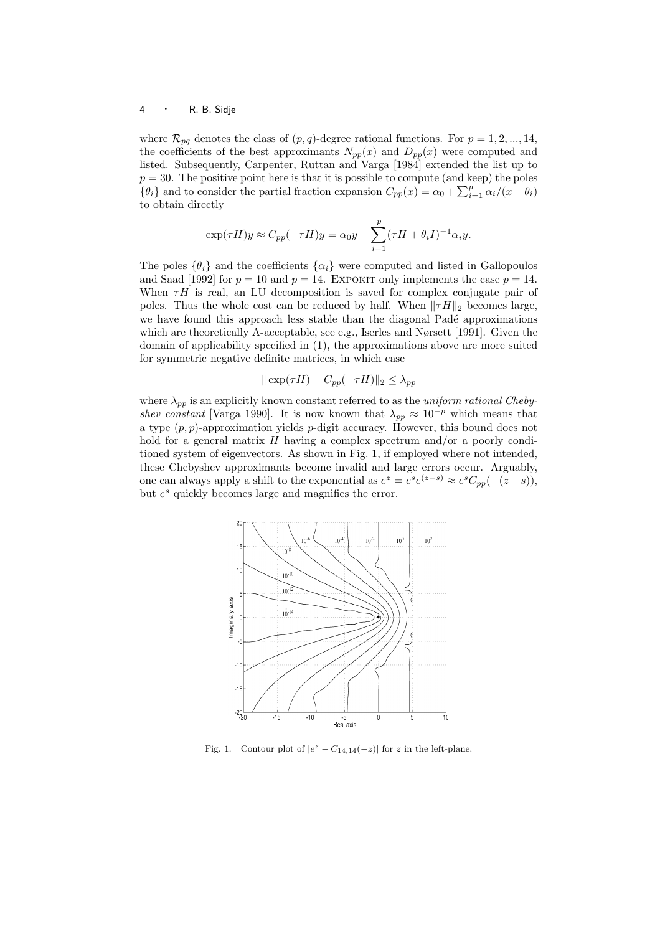where  $\mathcal{R}_{pq}$  denotes the class of  $(p, q)$ -degree rational functions. For  $p = 1, 2, ..., 14$ , the coefficients of the best approximants  $N_{pp}(x)$  and  $D_{pp}(x)$  were computed and listed. Subsequently, Carpenter, Ruttan and Varga [1984] extended the list up to  $p = 30$ . The positive point here is that it is possible to compute (and keep) the poles  ${p \equiv 30}$ . The positive point here is that it is possible to compute (and keep) the poles  ${ \lbrace \theta_i \rbrace }$  and to consider the partial fraction expansion  $C_{pp}(x) = \alpha_0 + \sum_{i=1}^p \alpha_i/(x - \theta_i)$ to obtain directly

$$
\exp(\tau H)y \approx C_{pp}(-\tau H)y = \alpha_0 y - \sum_{i=1}^p (\tau H + \theta_i I)^{-1} \alpha_i y.
$$

The poles  $\{\theta_i\}$  and the coefficients  $\{\alpha_i\}$  were computed and listed in Gallopoulos and Saad [1992] for  $p = 10$  and  $p = 14$ . EXPOKIT only implements the case  $p = 14$ . When  $\tau H$  is real, an LU decomposition is saved for complex conjugate pair of poles. Thus the whole cost can be reduced by half. When  $\|\tau H\|_2$  becomes large, we have found this approach less stable than the diagonal Padé approximations which are theoretically A-acceptable, see e.g., Iserles and Nørsett [1991]. Given the domain of applicability specified in (1), the approximations above are more suited for symmetric negative definite matrices, in which case

$$
\|\exp(\tau H) - C_{pp}(-\tau H)\|_2 \le \lambda_{pp}
$$

where  $\lambda_{pp}$  is an explicitly known constant referred to as the *uniform rational Cheby*shev constant [Varga 1990]. It is now known that  $\lambda_{pp} \approx 10^{-p}$  which means that a type  $(p, p)$ -approximation yields p-digit accuracy. However, this bound does not hold for a general matrix  $H$  having a complex spectrum and/or a poorly conditioned system of eigenvectors. As shown in Fig. 1, if employed where not intended, these Chebyshev approximants become invalid and large errors occur. Arguably, one can always apply a shift to the exponential as  $e^z = e^s e^{(z-s)} \approx e^s C_{pp}(-(z-s)),$ but  $e^s$  quickly becomes large and magnifies the error.



Fig. 1. Contour plot of  $|e^z - C_{14,14}(-z)|$  for z in the left-plane.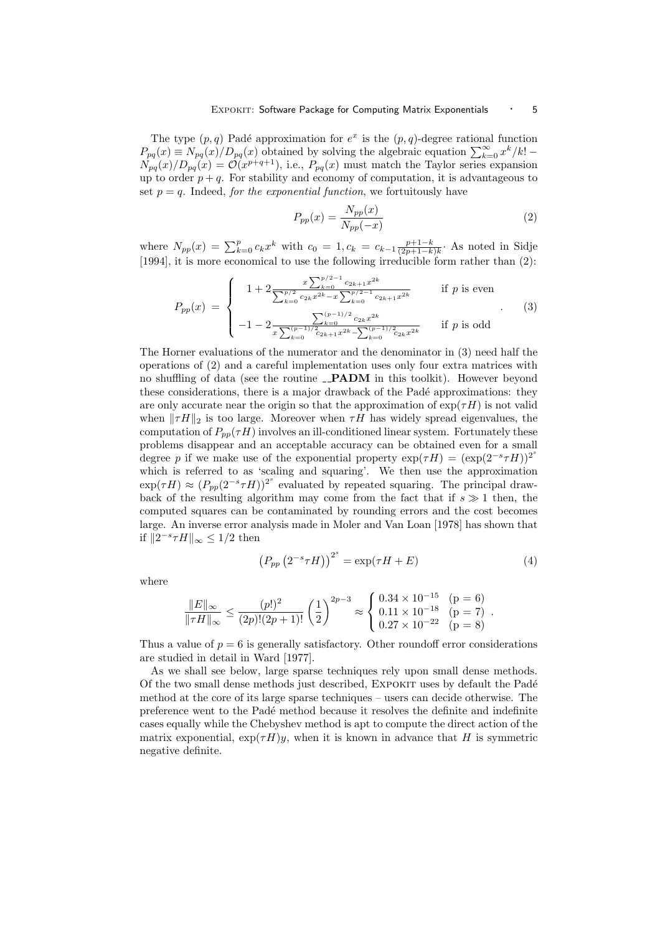The type  $(p, q)$  Padé approximation for  $e^x$  is the  $(p, q)$ -degree rational function The type  $(p, q)$  Pade approximation for  $e^-$  is the  $(p, q)$ -degree rational function  $P_{pq}(x) \equiv N_{pq}(x)/D_{pq}(x)$  obtained by solving the algebraic equation  $\sum_{k=0}^{\infty} x^k/k!$  $N_{pq}(x)/D_{pq}(x) = \mathcal{O}(x^{p+q+1}),$  i.e.,  $P_{pq}(x)$  must match the Taylor series expansion up to order  $p + q$ . For stability and economy of computation, it is advantageous to set  $p = q$ . Indeed, for the exponential function, we fortuitously have

$$
P_{pp}(x) = \frac{N_{pp}(x)}{N_{pp}(-x)}
$$
\n<sup>(2)</sup>

where  $N_{pp}(x) = \sum_{k=0}^{p} c_k x^k$  with  $c_0 = 1, c_k = c_{k-1} \frac{p+1-k}{(2p+1-k)k}$ . As noted in Sidje [1994], it is more economical to use the following irreducible form rather than (2):

$$
P_{pp}(x) = \begin{cases} 1 + 2 \frac{x \sum_{k=0}^{p/2-1} c_{2k+1} x^{2k}}{\sum_{k=0}^{p/2} c_{2k} x^{2k} - x \sum_{k=0}^{p/2-1} c_{2k+1} x^{2k}} & \text{if } p \text{ is even} \\ -1 - 2 \frac{x^{(p-1)/2} c_{2k} x^{2k}}{x \sum_{k=0}^{(p-1)/2} c_{2k+1} x^{2k} - \sum_{k=0}^{(p-1)/2} c_{2k} x^{2k}} & \text{if } p \text{ is odd} \end{cases}
$$
(3)

The Horner evaluations of the numerator and the denominator in (3) need half the operations of (2) and a careful implementation uses only four extra matrices with no shuffling of data (see the routine \_PADM in this toolkit). However beyond these considerations, there is a major drawback of the Padé approximations: they are only accurate near the origin so that the approximation of  $\exp(\tau H)$  is not valid when  $\|\tau H\|_2$  is too large. Moreover when  $\tau H$  has widely spread eigenvalues, the computation of  $P_{nn}(\tau H)$  involves an ill-conditioned linear system. Fortunately these problems disappear and an acceptable accuracy can be obtained even for a small degree p if we make use of the exponential property  $\exp(\tau H) = (\exp(2^{-s}\tau H))^{2^s}$ which is referred to as 'scaling and squaring'. We then use the approximation  $\exp(\tau H) \approx (P_{pp}(2^{-s}\tau H))^{2^s}$  evaluated by repeated squaring. The principal drawback of the resulting algorithm may come from the fact that if  $s \gg 1$  then, the computed squares can be contaminated by rounding errors and the cost becomes large. An inverse error analysis made in Moler and Van Loan [1978] has shown that if  $||2^{-s}\tau H||_{\infty} \leq 1/2$  then

$$
\left(P_{pp}\left(2^{-s}\tau H\right)\right)^{2^{s}} = \exp(\tau H + E) \tag{4}
$$

where

$$
\frac{\|E\|_{\infty}}{\|\tau H\|_{\infty}} \le \frac{(p!)^2}{(2p)!(2p+1)!} \left(\frac{1}{2}\right)^{2p-3} \approx \begin{cases} 0.34 \times 10^{-15} & (p = 6) \\ 0.11 \times 10^{-18} & (p = 7) \\ 0.27 \times 10^{-22} & (p = 8) \end{cases}.
$$

Thus a value of  $p = 6$  is generally satisfactory. Other roundoff error considerations are studied in detail in Ward [1977].

As we shall see below, large sparse techniques rely upon small dense methods. Of the two small dense methods just described, EXPOKIT uses by default the Padé method at the core of its large sparse techniques – users can decide otherwise. The preference went to the Pad´e method because it resolves the definite and indefinite cases equally while the Chebyshev method is apt to compute the direct action of the matrix exponential,  $\exp(\tau H)y$ , when it is known in advance that H is symmetric negative definite.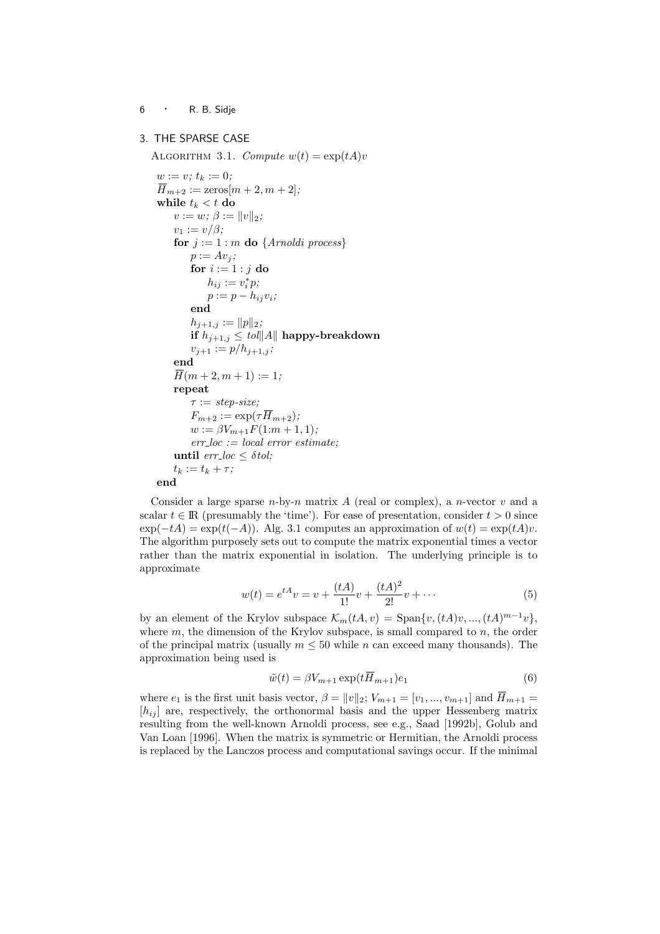# 3. THE SPARSE CASE

ALGORITHM 3.1. Compute  $w(t) = \exp(tA)v$ 

```
w := v; t_k := 0;
\overline{H}_{m+2} := \text{zeros}[m+2, m+2];while t_k < t do
    v := w; \beta := ||v||_2;v_1 := v/\beta;for j := 1 : m do {Arnoldi process}
        p := Av_i;for i := 1 : j do
             h_{ij} := v_i^* p;p := p - h_{ij}v_i;end
        h_{j+1,j} := ||p||_2;if h_{j+1,j} \leq tol||A|| happy-breakdown
        v_{j+1} := p/h_{j+1,j};end
    \overline{H}(m+2, m+1) := 1;repeat
        \tau := step-size;F_{m+2} := \exp(\tau \overline{H}_{m+2});w := \beta V_{m+1} F(1:m+1,1);err\_loc := local error estimate;until err\_loc < \delta tol;t_k := t_k + \tau;end
```
Consider a large sparse  $n$ -by-n matrix A (real or complex), a n-vector v and a scalar  $t \in \mathbb{R}$  (presumably the 'time'). For ease of presentation, consider  $t > 0$  since  $\exp(-tA) = \exp(t(-A))$ . Alg. 3.1 computes an approximation of  $w(t) = \exp(tA)v$ . The algorithm purposely sets out to compute the matrix exponential times a vector rather than the matrix exponential in isolation. The underlying principle is to approximate

$$
w(t) = e^{tA}v = v + \frac{(tA)}{1!}v + \frac{(tA)^2}{2!}v + \dots
$$
 (5)

by an element of the Krylov subspace  $\mathcal{K}_m(tA, v) = \text{Span}\{v, (tA)v, ..., (tA)^{m-1}v\},\$ where  $m$ , the dimension of the Krylov subspace, is small compared to  $n$ , the order of the principal matrix (usually  $m \leq 50$  while n can exceed many thousands). The approximation being used is

$$
\tilde{w}(t) = \beta V_{m+1} \exp(t\overline{H}_{m+1})e_1 \tag{6}
$$

where  $e_1$  is the first unit basis vector,  $\beta = ||v||_2$ ;  $V_{m+1} = [v_1, ..., v_{m+1}]$  and  $\overline{H}_{m+1} =$  $[h_{ij}]$  are, respectively, the orthonormal basis and the upper Hessenberg matrix resulting from the well-known Arnoldi process, see e.g., Saad [1992b], Golub and Van Loan [1996]. When the matrix is symmetric or Hermitian, the Arnoldi process is replaced by the Lanczos process and computational savings occur. If the minimal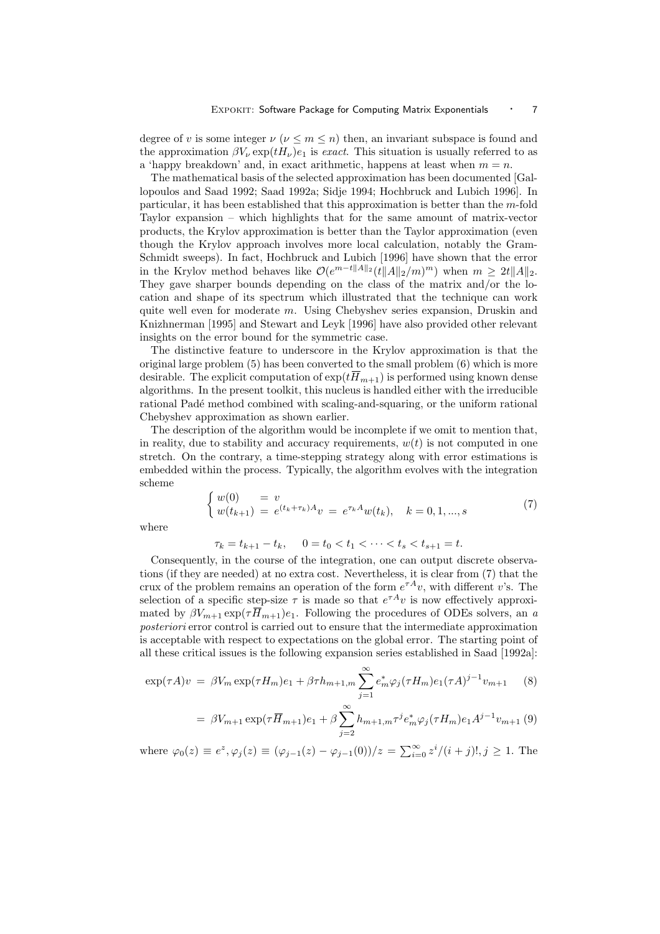degree of v is some integer  $\nu$  ( $\nu \leq m \leq n$ ) then, an invariant subspace is found and the approximation  $\beta V_{\nu} \exp(tH_{\nu})e_1$  is exact. This situation is usually referred to as a 'happy breakdown' and, in exact arithmetic, happens at least when  $m = n$ .

The mathematical basis of the selected approximation has been documented [Gallopoulos and Saad 1992; Saad 1992a; Sidje 1994; Hochbruck and Lubich 1996]. In particular, it has been established that this approximation is better than the m-fold Taylor expansion – which highlights that for the same amount of matrix-vector products, the Krylov approximation is better than the Taylor approximation (even though the Krylov approach involves more local calculation, notably the Gram-Schmidt sweeps). In fact, Hochbruck and Lubich [1996] have shown that the error in the Krylov method behaves like  $\mathcal{O}(e^{m-t||A||_2} (t||A||_2/m)^m)$  when  $m \geq 2t||A||_2$ . They gave sharper bounds depending on the class of the matrix and/or the location and shape of its spectrum which illustrated that the technique can work quite well even for moderate  $m$ . Using Chebyshev series expansion, Druskin and Knizhnerman [1995] and Stewart and Leyk [1996] have also provided other relevant insights on the error bound for the symmetric case.

The distinctive feature to underscore in the Krylov approximation is that the original large problem (5) has been converted to the small problem (6) which is more desirable. The explicit computation of  $\exp(t\overline{H}_{m+1})$  is performed using known dense algorithms. In the present toolkit, this nucleus is handled either with the irreducible rational Padé method combined with scaling-and-squaring, or the uniform rational Chebyshev approximation as shown earlier.

The description of the algorithm would be incomplete if we omit to mention that, in reality, due to stability and accuracy requirements,  $w(t)$  is not computed in one stretch. On the contrary, a time-stepping strategy along with error estimations is embedded within the process. Typically, the algorithm evolves with the integration scheme ½

$$
\begin{cases} w(0) = v \\ w(t_{k+1}) = e^{(t_k + \tau_k)A}v = e^{\tau_k A}w(t_k), \quad k = 0, 1, ..., s \end{cases}
$$
 (7)

where

 $\tau_k = t_{k+1} - t_k, \quad 0 = t_0 < t_1 < \cdots < t_s < t_{s+1} = t.$ 

Consequently, in the course of the integration, one can output discrete observations (if they are needed) at no extra cost. Nevertheless, it is clear from (7) that the crux of the problem remains an operation of the form  $e^{\tau A}v$ , with different v's. The selection of a specific step-size  $\tau$  is made so that  $e^{\tau A}v$  is now effectively approximated by  $\beta V_{m+1} \exp(\tau \overline{H}_{m+1})e_1$ . Following the procedures of ODEs solvers, an a posteriori error control is carried out to ensure that the intermediate approximation is acceptable with respect to expectations on the global error. The starting point of all these critical issues is the following expansion series established in Saad [1992a]:

$$
\exp(\tau A)v = \beta V_m \exp(\tau H_m)e_1 + \beta \tau h_{m+1,m} \sum_{j=1}^{\infty} e_m^* \varphi_j(\tau H_m)e_1(\tau A)^{j-1} v_{m+1} \tag{8}
$$

$$
= \beta V_{m+1} \exp(\tau \overline{H}_{m+1}) e_1 + \beta \sum_{j=2}^{\infty} h_{m+1,m} \tau^j e_m^* \varphi_j(\tau H_m) e_1 A^{j-1} v_{m+1} (9)
$$

where  $\varphi_0(z) \equiv e^z, \varphi_j(z) \equiv (\varphi_{j-1}(z) - \varphi_{j-1}(0))/z = \sum_{i=0}^{\infty} z^i/(i+j)!, j \ge 1$ . The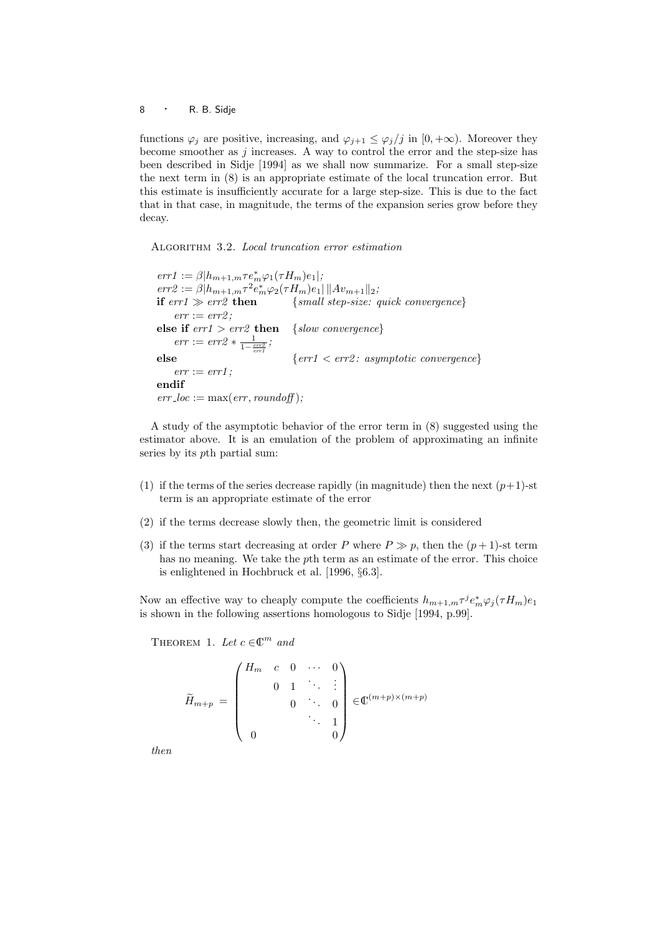functions  $\varphi_j$  are positive, increasing, and  $\varphi_{j+1} \leq \varphi_j/j$  in  $[0, +\infty)$ . Moreover they become smoother as  $j$  increases. A way to control the error and the step-size has been described in Sidje [1994] as we shall now summarize. For a small step-size the next term in (8) is an appropriate estimate of the local truncation error. But this estimate is insufficiently accurate for a large step-size. This is due to the fact that in that case, in magnitude, the terms of the expansion series grow before they decay.

ALGORITHM 3.2. Local truncation error estimation

 $err1 := \beta | h_{m+1,m} \tau e_m^* \varphi_1(\tau H_m) e_1 |;$  $err2 := \beta | h_{m+1,m} \tau^2 e_m^* \varphi_2(\tau H_m) e_1 | ||Av_{m+1}||_2;$ if  $err1 \gg err2$  then {small step-size: quick convergence}  $err := err2$ : else if  $err1 > err2$  then {slow convergence}  $err := err2 * \frac{1}{1 - \frac{err2}{err1}};$ else  $\{err1 \le err2 : asymptotic\ convergence\}$  $err := err1$ ; endif  $err\_loc := \max(err, roundoff);$ 

A study of the asymptotic behavior of the error term in (8) suggested using the estimator above. It is an emulation of the problem of approximating an infinite series by its pth partial sum:

- (1) if the terms of the series decrease rapidly (in magnitude) then the next  $(p+1)$ -st term is an appropriate estimate of the error
- (2) if the terms decrease slowly then, the geometric limit is considered
- (3) if the terms start decreasing at order P where  $P \gg p$ , then the  $(p+1)$ -st term has no meaning. We take the pth term as an estimate of the error. This choice is enlightened in Hochbruck et al. [1996, §6.3].

Now an effective way to cheaply compute the coefficients  $h_{m+1,m}\tau^{j}e_{m}^{*}\varphi_{j}(\tau H_{m})e_{1}$ is shown in the following assertions homologous to Sidje [1994, p.99].

THEOREM 1. Let  $c \in \mathbb{C}^m$  and

$$
\widetilde{H}_{m+p} = \begin{pmatrix} H_m & c & 0 & \cdots & 0 \\ & 0 & 1 & \ddots & \vdots \\ & & 0 & \ddots & 0 \\ & & & & \ddots & 1 \\ 0 & & & & & 0 \end{pmatrix} \in \mathbb{C}^{(m+p)\times (m+p)}
$$

then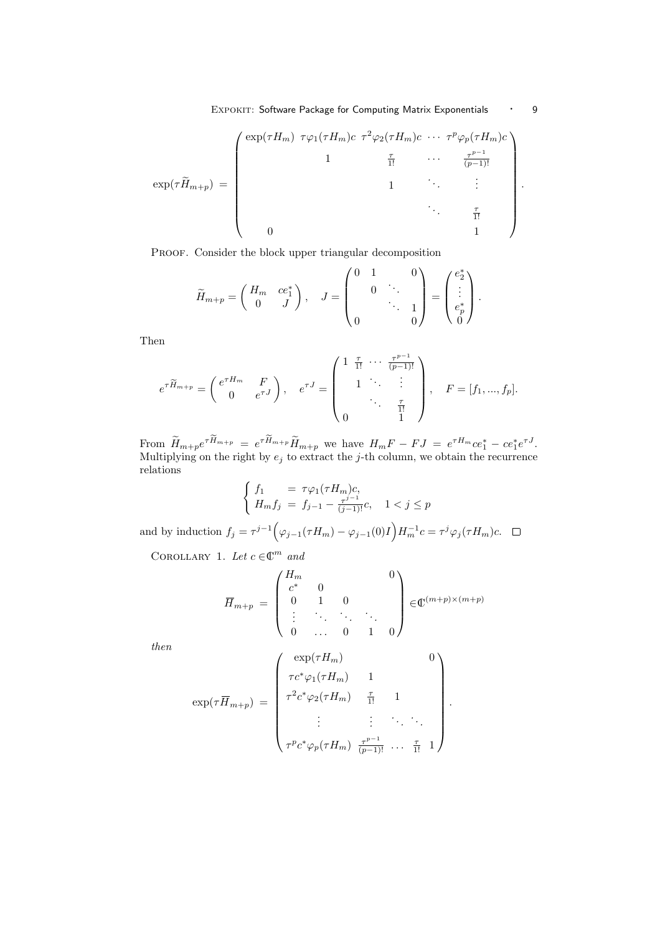EXPOKIT: Software Package for Computing Matrix Exponentials · 9

$$
\exp(\tau \widetilde{H}_{m+p}) = \begin{pmatrix} \exp(\tau H_m) & \tau \varphi_1(\tau H_m) c & \tau^2 \varphi_2(\tau H_m) c & \cdots & \tau^p \varphi_p(\tau H_m) c \\ & 1 & & \vdots & & \vdots \\ & & 1 & & \ddots & \vdots \\ & & & 1 & & \ddots & \vdots \\ & & & & \ddots & \vdots \\ & & & & & \frac{\tau}{1!} \\ 0 & & & & & 1 \end{pmatrix}.
$$

PROOF. Consider the block upper triangular decomposition

$$
\widetilde{H}_{m+p} = \begin{pmatrix} H_m & ce_1^* \\ 0 & J \end{pmatrix}, \quad J = \begin{pmatrix} 0 & 1 & 0 \\ & 0 & \ddots & 0 \\ & & \ddots & 1 \\ 0 & & & 0 \end{pmatrix} = \begin{pmatrix} e_2^* \\ \vdots \\ e_p^* \\ 0 \end{pmatrix}.
$$

Then

$$
e^{\tau \widetilde{H}_{m+p}} = \begin{pmatrix} e^{\tau H_m} & F \\ 0 & e^{\tau J} \end{pmatrix}, \quad e^{\tau J} = \begin{pmatrix} 1 & \frac{\tau}{1!} & \cdots & \frac{\tau^{p-1}}{(p-1)!} \\ 1 & \ddots & \vdots \\ 0 & 1 & \end{pmatrix}, \quad F = [f_1, ..., f_p].
$$

From  $\widetilde{H}_{m+p}e^{\tau \widetilde{H}_{m+p}} = e^{\tau \widetilde{H}_{m+p}}\widetilde{H}_{m+p}$  we have  $H_mF - FJ = e^{\tau H_m}ce_1^* - ce_1^*e^{\tau J}$ . Multiplying on the right by  $e_j$  to extract the j-th column, we obtain the recurrence relations  $\overline{a}$ 

$$
\begin{cases}\nf_1 = \tau \varphi_1(\tau H_m)c, \\
H_m f_j = f_{j-1} - \frac{\tau^{j-1}}{(j-1)!}c, \quad 1 < j \le p\n\end{cases}
$$

and by induction  $f_j = \tau^{j-1}$  $\varphi_{j-1}(\tau H_m) - \varphi_{j-1}(0)I$ ´  $H_m^{-1}c = \tau^j \varphi_j(\tau H_m)c.$ 

COROLLARY 1. Let  $c \in \mathbb{C}^m$  and

$$
\overline{H}_{m+p} = \begin{pmatrix} H_m & & & & 0 \\ c^* & 0 & & & \\ 0 & 1 & 0 & & \\ \vdots & \ddots & \ddots & \ddots & \\ 0 & \dots & 0 & 1 & 0 \end{pmatrix} \in \mathbb{C}^{(m+p)\times(m+p)}
$$

then

$$
\exp(\tau \overline{H}_{m+p}) = \begin{pmatrix} \exp(\tau H_m) & 0 \\ \tau c^* \varphi_1(\tau H_m) & 1 \\ \tau^2 c^* \varphi_2(\tau H_m) & \frac{\tau}{1!} & 1 \\ \vdots & \vdots & \ddots & \vdots \\ \tau^p c^* \varphi_p(\tau H_m) & \frac{\tau^{p-1}}{(p-1)!} & \cdots & \frac{\tau}{1!} & 1 \end{pmatrix}.
$$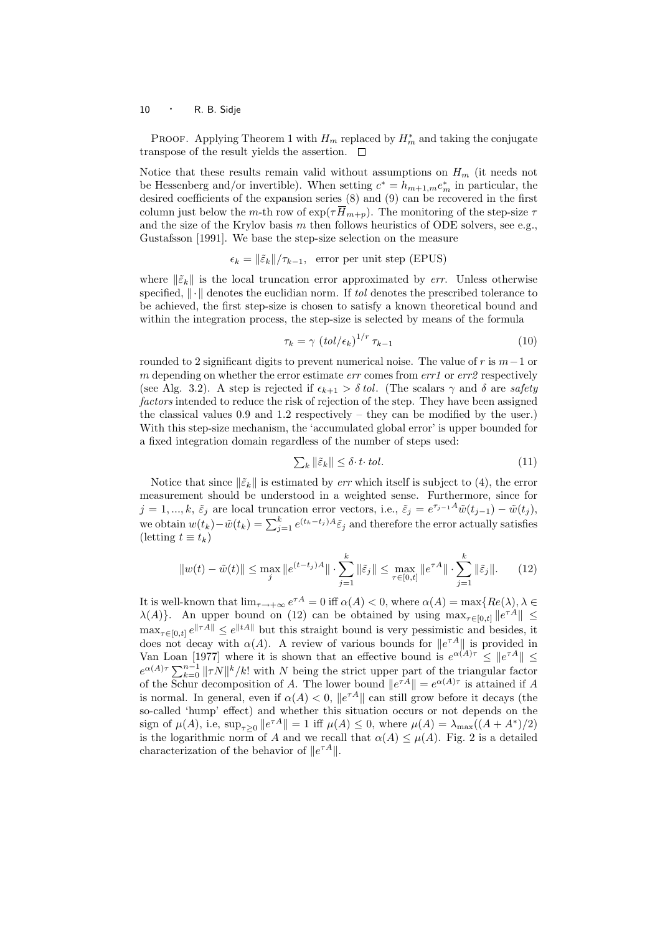PROOF. Applying Theorem 1 with  $H_m$  replaced by  $H_m^*$  and taking the conjugate transpose of the result yields the assertion.  $\square$ 

Notice that these results remain valid without assumptions on  $H_m$  (it needs not be Hessenberg and/or invertible). When setting  $c^* = h_{m+1,m} e_m^*$  in particular, the desired coefficients of the expansion series (8) and (9) can be recovered in the first column just below the m-th row of  $\exp(\tau \overline{H}_{m+p})$ . The monitoring of the step-size  $\tau$ and the size of the Krylov basis  $m$  then follows heuristics of ODE solvers, see e.g., Gustafsson [1991]. We base the step-size selection on the measure

 $\epsilon_k = ||\tilde{\varepsilon}_k||/\tau_{k-1}$ , error per unit step (EPUS)

where  $\|\tilde{\varepsilon}_k\|$  is the local truncation error approximated by err. Unless otherwise specified,  $\|\cdot\|$  denotes the euclidian norm. If tol denotes the prescribed tolerance to be achieved, the first step-size is chosen to satisfy a known theoretical bound and within the integration process, the step-size is selected by means of the formula

$$
\tau_k = \gamma \left( tol/\epsilon_k \right)^{1/r} \tau_{k-1} \tag{10}
$$

rounded to 2 significant digits to prevent numerical noise. The value of r is  $m-1$  or m depending on whether the error estimate  $err$  comes from  $err1$  or  $err2$  respectively (see Alg. 3.2). A step is rejected if  $\epsilon_{k+1} > \delta tol$ . (The scalars  $\gamma$  and  $\delta$  are safety factors intended to reduce the risk of rejection of the step. They have been assigned the classical values 0.9 and 1.2 respectively – they can be modified by the user.) With this step-size mechanism, the 'accumulated global error' is upper bounded for a fixed integration domain regardless of the number of steps used:

$$
\sum_{k} \|\tilde{\varepsilon}_{k}\| \le \delta \cdot t \cdot tol. \tag{11}
$$

Notice that since  $\|\tilde{\varepsilon}_k\|$  is estimated by *err* which itself is subject to (4), the error measurement should be understood in a weighted sense. Furthermore, since for  $j = 1, ..., k, \tilde{\varepsilon}_j$  are local truncation error vectors, i.e.,  $\tilde{\varepsilon}_j = e^{\tau_{j-1}A}\tilde{w}(t_{j-1}) - \tilde{w}(t_j)$ ,  $y = 1, ..., h$ ,  $c_j$  are local dimension error vectors, i.e.,  $c_j = c - w(c_{j-1}) - w(c_j)$ ,<br>we obtain  $w(t_k) - \tilde{w}(t_k) = \sum_{j=1}^k e^{(t_k-t_j)A} \tilde{\varepsilon}_j$  and therefore the error actually satisfies (letting  $t \equiv t_k$ )

$$
||w(t) - \tilde{w}(t)|| \le \max_{j} ||e^{(t-t_j)A}|| \cdot \sum_{j=1}^{k} ||\tilde{\varepsilon}_j|| \le \max_{\tau \in [0,t]} ||e^{\tau A}|| \cdot \sum_{j=1}^{k} ||\tilde{\varepsilon}_j||. \tag{12}
$$

It is well-known that  $\lim_{\tau \to +\infty} e^{\tau A} = 0$  iff  $\alpha(A) < 0$ , where  $\alpha(A) = \max\{Re(\lambda), \lambda \in$  $\lambda(A)$ . An upper bound on (12) can be obtained by using  $\max_{\tau \in [0,t]} \|e^{\tau A}\|$  $\max_{\tau \in [0,t]} e^{\|\tau A\|} \leq e^{\|tA\|}$  but this straight bound is very pessimistic and besides, it does not decay with  $\alpha(A)$ . A review of various bounds for  $||e^{\tau A}||$  is provided in Van Loan [1977] where it is shown that an effective bound is  $e^{\alpha(A)\tau} \leq ||e^{\tau A}|| \leq$ van Boan [1977] where it is shown that an enective bound is  $e^{-(A)\tau} \sum_{k=0}^{n-1} ||\tau N||^k/k!$  with N being the strict upper part of the triangular factor of the Schur decomposition of A. The lower bound  $||e^{\tau A}|| = e^{\alpha(A)\tau}$  is attained if A is normal. In general, even if  $\alpha(A) < 0$ ,  $||e^{\tau A}||$  can still grow before it decays (the so-called 'hump' effect) and whether this situation occurs or not depends on the sign of  $\mu(A)$ , i.e,  $\sup_{\tau \geq 0} ||e^{\tau A}|| = 1$  iff  $\mu(A) \leq 0$ , where  $\mu(A) = \lambda_{\max}((A + A^*)/2)$ is the logarithmic norm of A and we recall that  $\alpha(A) \leq \mu(A)$ . Fig. 2 is a detailed characterization of the behavior of  $||e^{\tau A}||$ .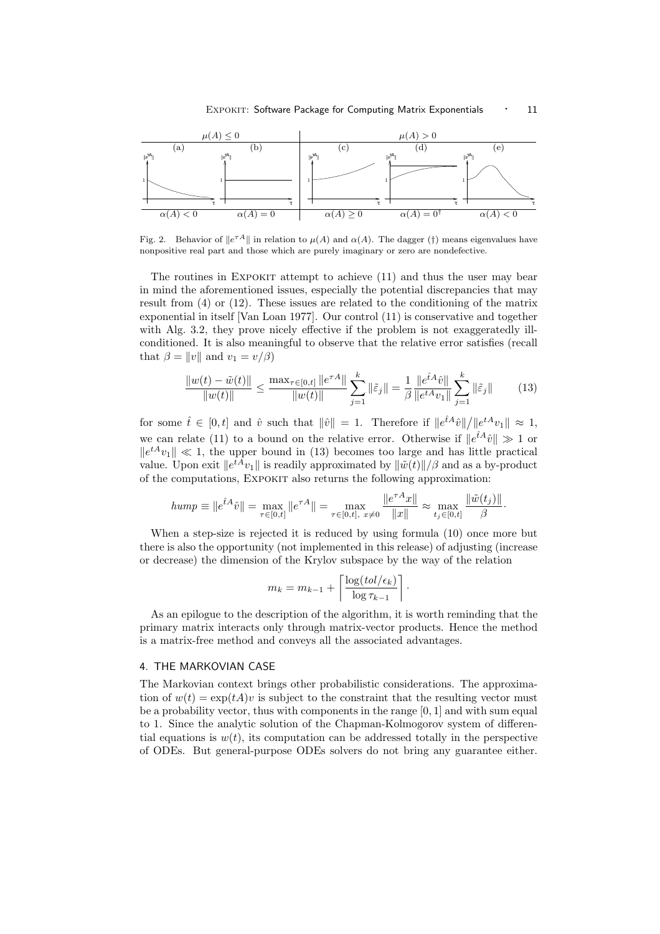

Fig. 2. Behavior of  $||e^{\tau A}||$  in relation to  $\mu(A)$  and  $\alpha(A)$ . The dagger (†) means eigenvalues have nonpositive real part and those which are purely imaginary or zero are nondefective.

The routines in Expokit attempt to achieve (11) and thus the user may bear in mind the aforementioned issues, especially the potential discrepancies that may result from (4) or (12). These issues are related to the conditioning of the matrix exponential in itself [Van Loan 1977]. Our control (11) is conservative and together with Alg. 3.2, they prove nicely effective if the problem is not exaggeratedly illconditioned. It is also meaningful to observe that the relative error satisfies (recall that  $\beta = ||v||$  and  $v_1 = v/\beta$ )

$$
\frac{\|w(t) - \tilde{w}(t)\|}{\|w(t)\|} \le \frac{\max_{\tau \in [0,t]} \|e^{\tau A}\|}{\|w(t)\|} \sum_{j=1}^k \|\tilde{\varepsilon}_j\| = \frac{1}{\beta} \frac{\|e^{\tilde{t}A}\hat{v}\|}{\|e^{tA}v_1\|} \sum_{j=1}^k \|\tilde{\varepsilon}_j\| \tag{13}
$$

·

for some  $\hat{t} \in [0, t]$  and  $\hat{v}$  such that  $\|\hat{v}\| = 1$ . Therefore if  $\|e^{\hat{t}A}\hat{v}\|$  $\overline{1}$  $||e^{tA}v_1|| \approx 1,$ we can relate (11) to a bound on the relative error. Otherwise if  $||e^{\hat{t}A}\hat{v}|| \gg 1$  or  $||e^{tA}v_1|| \ll 1$ , the upper bound in (13) becomes too large and has little practical value. Upon exit  $||e^{tA}v_1||$  is readily approximated by  $||\tilde{w}(t)||/\beta$  and as a by-product of the computations, Expokit also returns the following approximation:

$$
hump \equiv \|e^{\hat{t}A}\hat{v}\| = \max_{\tau \in [0,t]} \|e^{\tau A}\| = \max_{\tau \in [0,t], x \neq 0} \frac{\|e^{\tau A}x\|}{\|x\|} \approx \max_{t_j \in [0,t]} \frac{\|\tilde{w}(t_j)\|}{\beta}
$$

When a step-size is rejected it is reduced by using formula (10) once more but there is also the opportunity (not implemented in this release) of adjusting (increase or decrease) the dimension of the Krylov subspace by the way of the relation

$$
m_k = m_{k-1} + \left\lceil \frac{\log(tol/\epsilon_k)}{\log \tau_{k-1}} \right\rceil.
$$

As an epilogue to the description of the algorithm, it is worth reminding that the primary matrix interacts only through matrix-vector products. Hence the method is a matrix-free method and conveys all the associated advantages.

#### 4. THE MARKOVIAN CASE

The Markovian context brings other probabilistic considerations. The approximation of  $w(t) = \exp(tA)v$  is subject to the constraint that the resulting vector must be a probability vector, thus with components in the range  $[0, 1]$  and with sum equal to 1. Since the analytic solution of the Chapman-Kolmogorov system of differential equations is  $w(t)$ , its computation can be addressed totally in the perspective of ODEs. But general-purpose ODEs solvers do not bring any guarantee either.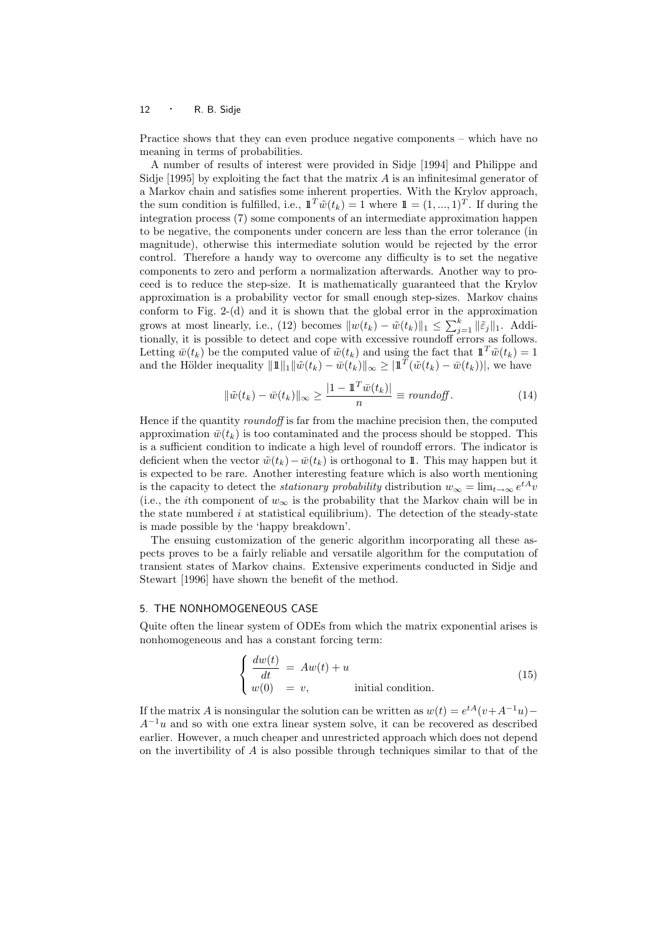Practice shows that they can even produce negative components – which have no meaning in terms of probabilities.

A number of results of interest were provided in Sidje [1994] and Philippe and Sidje  $[1995]$  by exploiting the fact that the matrix  $A$  is an infinitesimal generator of a Markov chain and satisfies some inherent properties. With the Krylov approach, the sum condition is fulfilled, i.e.,  $\mathbb{1}^T \tilde{w}(t_k) = 1$  where  $\mathbb{1} = (1, ..., 1)^T$ . If during the integration process (7) some components of an intermediate approximation happen to be negative, the components under concern are less than the error tolerance (in magnitude), otherwise this intermediate solution would be rejected by the error control. Therefore a handy way to overcome any difficulty is to set the negative components to zero and perform a normalization afterwards. Another way to proceed is to reduce the step-size. It is mathematically guaranteed that the Krylov approximation is a probability vector for small enough step-sizes. Markov chains conform to Fig. 2-(d) and it is shown that the global error in the approximation grows at most linearly, i.e., (12) becomes  $||w(t_k) - \tilde{w}(t_k)||_1 \le \sum_{j=1}^k ||\tilde{\epsilon}_j||_1$ . Additionally, it is possible to detect and cope with excessive roundoff errors as follows. Letting  $\bar{w}(t_k)$  be the computed value of  $\tilde{w}(t_k)$  and using the fact that  $\mathbb{1}^T \tilde{w}(t_k) = 1$ and the Hölder inequality  $||\mathbb{1}||_1 ||\tilde{w}(t_k) - \bar{w}(t_k)||_{\infty} \geq ||\mathbb{1}^T(\tilde{w}(t_k) - \bar{w}(t_k))||$ , we have

$$
\|\tilde{w}(t_k) - \bar{w}(t_k)\|_{\infty} \ge \frac{|1 - \mathbb{1}^T \bar{w}(t_k)|}{n} \equiv roundoff.
$$
\n(14)

Hence if the quantity roundoff is far from the machine precision then, the computed approximation  $\bar{w}(t_k)$  is too contaminated and the process should be stopped. This is a sufficient condition to indicate a high level of roundoff errors. The indicator is deficient when the vector  $\tilde{w}(t_k)-\bar{w}(t_k)$  is orthogonal to 1. This may happen but it is expected to be rare. Another interesting feature which is also worth mentioning is the capacity to detect the *stationary probability* distribution  $w_{\infty} = \lim_{t \to \infty} e^{tA}v$ (i.e., the *i*th component of  $w_{\infty}$  is the probability that the Markov chain will be in the state numbered  $i$  at statistical equilibrium). The detection of the steady-state is made possible by the 'happy breakdown'.

The ensuing customization of the generic algorithm incorporating all these aspects proves to be a fairly reliable and versatile algorithm for the computation of transient states of Markov chains. Extensive experiments conducted in Sidje and Stewart [1996] have shown the benefit of the method.

#### 5. THE NONHOMOGENEOUS CASE

Quite often the linear system of ODEs from which the matrix exponential arises is nonhomogeneous and has a constant forcing term:

$$
\begin{cases}\n\frac{dw(t)}{dt} = Aw(t) + u \\
w(0) = v,\n\end{cases}
$$
 initial condition. (15)

If the matrix A is nonsingular the solution can be written as  $w(t) = e^{tA}(v + A^{-1}u)$  $A^{-1}u$  and so with one extra linear system solve, it can be recovered as described earlier. However, a much cheaper and unrestricted approach which does not depend on the invertibility of  $\tilde{A}$  is also possible through techniques similar to that of the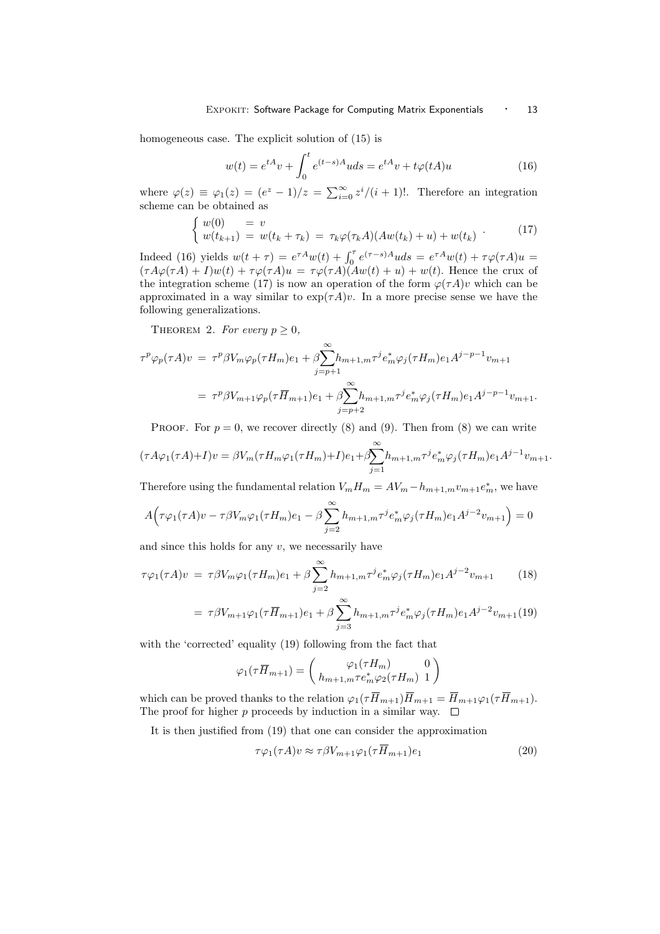homogeneous case. The explicit solution of (15) is

$$
w(t) = e^{tA}v + \int_0^t e^{(t-s)A}u ds = e^{tA}v + t\varphi(tA)u
$$
 (16)

where  $\varphi(z) \equiv \varphi_1(z) = (e^z - 1)/z = \sum_{i=0}^{\infty} \frac{z^i}{i+1}$ . Therefore an integration scheme can be obtained as

$$
\begin{cases} w(0) = v \\ w(t_{k+1}) = w(t_k + \tau_k) = \tau_k \varphi(\tau_k A)(Aw(t_k) + u) + w(t_k) \end{cases} (17)
$$

Indeed (16) yields  $w(t + \tau) = e^{\tau A} w(t) + \int_0^{\tau} e^{(\tau - s)A} u ds = e^{\tau A} w(t) + \tau \varphi(\tau A) u =$  $(\tau A\varphi(\tau A) + I)w(t) + \tau \varphi(\tau A)u = \tau \varphi(\tau A)(Aw(t) + u) + w(t)$ . Hence the crux of the integration scheme (17) is now an operation of the form  $\varphi(\tau A)v$  which can be approximated in a way similar to  $\exp(\tau A)v$ . In a more precise sense we have the following generalizations.

THEOREM 2. For every  $p \geq 0$ ,

$$
\tau^p \varphi_p(\tau A) v = \tau^p \beta V_m \varphi_p(\tau H_m) e_1 + \beta \sum_{j=p+1}^{\infty} h_{m+1,m} \tau^j e_m^* \varphi_j(\tau H_m) e_1 A^{j-p-1} v_{m+1}
$$
  
= 
$$
\tau^p \beta V_{m+1} \varphi_p(\tau \overline{H}_{m+1}) e_1 + \beta \sum_{j=p+2}^{\infty} h_{m+1,m} \tau^j e_m^* \varphi_j(\tau H_m) e_1 A^{j-p-1} v_{m+1}.
$$

PROOF. For  $p = 0$ , we recover directly (8) and (9). Then from (8) we can write

$$
(\tau A\varphi_1(\tau A) + I)v = \beta V_m(\tau H_m \varphi_1(\tau H_m) + I)e_1 + \beta \sum_{j=1}^{\infty} h_{m+1,m} \tau^j e_m^* \varphi_j(\tau H_m)e_1 A^{j-1} v_{m+1}.
$$

Therefore using the fundamental relation  $V_m H_m = AV_m - h_{m+1,m} v_{m+1} e_m^*$ , we have

$$
A(\tau\varphi_1(\tau A)v - \tau\beta V_m\varphi_1(\tau H_m)e_1 - \beta \sum_{j=2}^{\infty} h_{m+1,m}\tau^j e_m^*\varphi_j(\tau H_m)e_1A^{j-2}v_{m+1}\big) = 0
$$

and since this holds for any  $v$ , we necessarily have

$$
\tau \varphi_1(\tau A)v = \tau \beta V_m \varphi_1(\tau H_m) e_1 + \beta \sum_{j=2}^{\infty} h_{m+1,m} \tau^j e_m^* \varphi_j(\tau H_m) e_1 A^{j-2} v_{m+1}
$$
(18)

$$
= \tau \beta V_{m+1} \varphi_1(\tau \overline{H}_{m+1}) e_1 + \beta \sum_{j=3}^{\infty} h_{m+1,m} \tau^j e_m^* \varphi_j(\tau H_m) e_1 A^{j-2} v_{m+1}(19)
$$

with the 'corrected' equality (19) following from the fact that

$$
\varphi_1(\tau \overline{H}_{m+1}) = \begin{pmatrix} \varphi_1(\tau H_m) & 0\\ h_{m+1,m} \tau e_m^* \varphi_2(\tau H_m) & 1 \end{pmatrix}
$$

which can be proved thanks to the relation  $\varphi_1(\tau \overline{H}_{m+1})\overline{H}_{m+1} = \overline{H}_{m+1}\varphi_1(\tau \overline{H}_{m+1}).$ The proof for higher p proceeds by induction in a similar way.  $\square$ 

It is then justified from (19) that one can consider the approximation

$$
\tau \varphi_1(\tau A)v \approx \tau \beta V_{m+1} \varphi_1(\tau \overline{H}_{m+1})e_1 \tag{20}
$$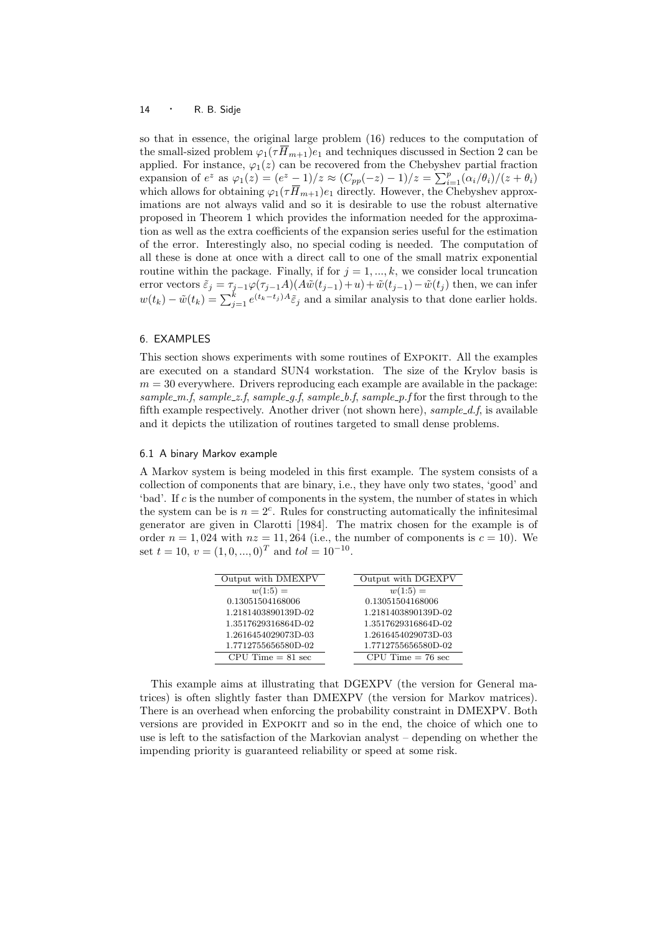so that in essence, the original large problem (16) reduces to the computation of the small-sized problem  $\varphi_1(\tau \overline{H}_{m+1})e_1$  and techniques discussed in Section 2 can be applied. For instance,  $\varphi_1(z)$  can be recovered from the Chebyshev partial fraction applied. For instance,  $\varphi_1(z)$  can be recovered from the Chebyshev partial fraction expansion of  $e^z$  as  $\varphi_1(z) = (e^z - 1)/z \approx (C_{pp}(-z) - 1)/z = \sum_{i=1}^p (\alpha_i/\theta_i)/(z + \theta_i)$ which allows for obtaining  $\varphi_1(\tau \overline{H}_{m+1})e_1$  directly. However, the Chebyshev approximations are not always valid and so it is desirable to use the robust alternative proposed in Theorem 1 which provides the information needed for the approximation as well as the extra coefficients of the expansion series useful for the estimation of the error. Interestingly also, no special coding is needed. The computation of all these is done at once with a direct call to one of the small matrix exponential routine within the package. Finally, if for  $j = 1, ..., k$ , we consider local truncation error vectors  $\tilde{\varepsilon}_j = \tau_{j-1} \varphi(\tau_{j-1}A)(A\tilde{w}(t_{j-1})+u) + \tilde{w}(t_{j-1}) - \tilde{w}(t_j)$  then, we can infer  $w(t_k) - \tilde{w}(t_k) = \sum_{j=1}^k e^{(t_k-t_j)A} \tilde{\varepsilon}_j$  and a similar analysis to that done earlier holds.

### 6. EXAMPLES

This section shows experiments with some routines of EXPOKIT. All the examples are executed on a standard SUN4 workstation. The size of the Krylov basis is  $m = 30$  everywhere. Drivers reproducing each example are available in the package: sample  $m.f$ , sample  $z.f$ , sample  $q.f$ , sample  $b.f$ , sample  $p.f$  for the first through to the fifth example respectively. Another driver (not shown here),  $sample\_d.f$ , is available and it depicts the utilization of routines targeted to small dense problems.

#### 6.1 A binary Markov example

A Markov system is being modeled in this first example. The system consists of a collection of components that are binary, i.e., they have only two states, 'good' and 'bad'. If  $c$  is the number of components in the system, the number of states in which the system can be is  $n = 2<sup>c</sup>$ . Rules for constructing automatically the infinitesimal generator are given in Clarotti [1984]. The matrix chosen for the example is of order  $n = 1,024$  with  $nz = 11,264$  (i.e., the number of components is  $c = 10$ ). We set  $t = 10$ ,  $v = (1, 0, ..., 0)^T$  and  $tol = 10^{-10}$ .

| Output with DMEXPV  | Output with DGEXPV  |
|---------------------|---------------------|
| $w(1:5) =$          | $w(1:5) =$          |
| 0.13051504168006    | 0.13051504168006    |
| 1.2181403890139D-02 | 1.2181403890139D-02 |
| 1.3517629316864D-02 | 1.3517629316864D-02 |
| 1.2616454029073D-03 | 1.2616454029073D-03 |
| 1.7712755656580D-02 | 1.7712755656580D-02 |
| $CPU Time = 81 sec$ | $CPU Time = 76 sec$ |

This example aims at illustrating that DGEXPV (the version for General matrices) is often slightly faster than DMEXPV (the version for Markov matrices). There is an overhead when enforcing the probability constraint in DMEXPV. Both versions are provided in Expokit and so in the end, the choice of which one to use is left to the satisfaction of the Markovian analyst – depending on whether the impending priority is guaranteed reliability or speed at some risk.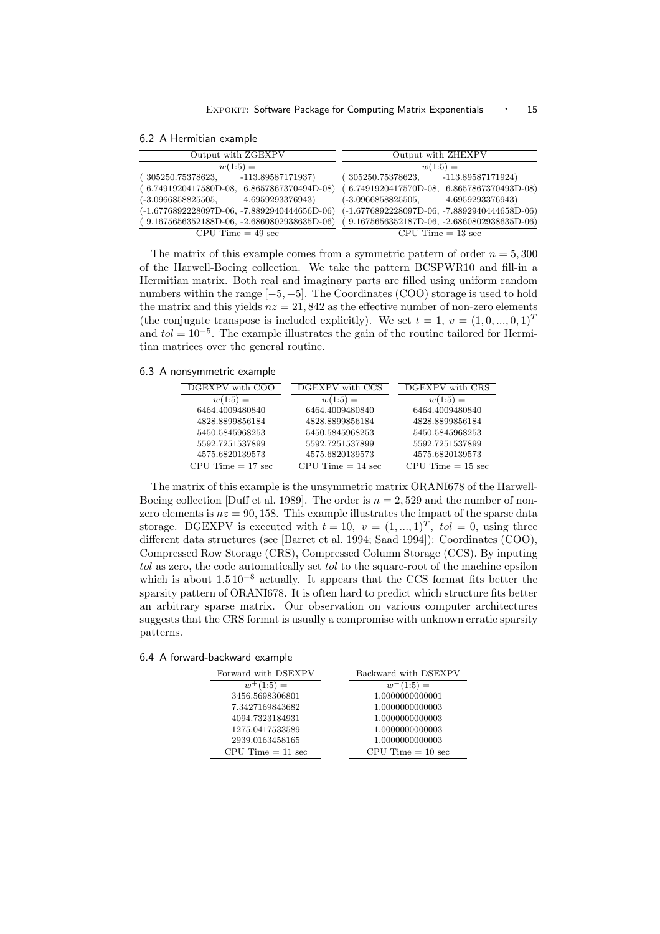| 6.2 A Hermitian example |  |
|-------------------------|--|
|-------------------------|--|

| Output with ZGEXPV                             | Output with ZHEXPV                             |  |
|------------------------------------------------|------------------------------------------------|--|
| $w(1:5) =$                                     | $w(1:5) =$                                     |  |
| $-113.89587171937$<br>305250.75378623,         | $-113.89587171924)$<br>305250.75378623,        |  |
| $(6.7491920417580D-08, 6.8657867370494D-08)$   | $(6.7491920417570D-08, 6.8657867370493D-08)$   |  |
| 4.6959293376943)<br>$(-3.0966858825505,$       | 4.6959293376943)<br>(-3.0966858825505,         |  |
| $(-1.6776892228097D-06, -7.8892940444656D-06)$ | $(-1.6776892228097D-06, -7.8892940444658D-06)$ |  |
| $(9.1675656352188D-06, -2.6860802938635D-06)$  | 9.1675656352187D-06, -2.6860802938635D-06)     |  |
| $CPU Time = 49 sec$                            | $CPU Time = 13 sec$                            |  |

The matrix of this example comes from a symmetric pattern of order  $n = 5,300$ of the Harwell-Boeing collection. We take the pattern BCSPWR10 and fill-in a Hermitian matrix. Both real and imaginary parts are filled using uniform random numbers within the range  $[-5, +5]$ . The Coordinates (COO) storage is used to hold the matrix and this yields  $nz = 21,842$  as the effective number of non-zero elements (the conjugate transpose is included explicitly). We set  $t = 1, v = (1, 0, ..., 0, 1)^T$ and  $tol = 10^{-5}$ . The example illustrates the gain of the routine tailored for Hermitian matrices over the general routine.

6.3 A nonsymmetric example

| DGEXPV with COO     | DGEXPV with CCS     | DGEXPV with CRS     |
|---------------------|---------------------|---------------------|
| $w(1:5) =$          | $w(1:5) =$          | $w(1:5) =$          |
| 6464.4009480840     | 6464.4009480840     | 6464.4009480840     |
| 4828.8899856184     | 4828.8899856184     | 4828.8899856184     |
| 5450.5845968253     | 5450.5845968253     | 5450.5845968253     |
| 5592.7251537899     | 5592.7251537899     | 5592.7251537899     |
| 4575.6820139573     | 4575.6820139573     | 4575.6820139573     |
| $CPU Time = 17 sec$ | $CPU Time = 14 sec$ | $CPU Time = 15 sec$ |

The matrix of this example is the unsymmetric matrix ORANI678 of the Harwell-Boeing collection [Duff et al. 1989]. The order is  $n = 2,529$  and the number of nonzero elements is  $nz = 90, 158$ . This example illustrates the impact of the sparse data storage. DGEXPV is executed with  $t = 10$ ,  $v = (1, ..., 1)^T$ ,  $tol = 0$ , using three different data structures (see [Barret et al. 1994; Saad 1994]): Coordinates (COO), Compressed Row Storage (CRS), Compressed Column Storage (CCS). By inputing tol as zero, the code automatically set tol to the square-root of the machine epsilon which is about  $1.5 10^{-8}$  actually. It appears that the CCS format fits better the sparsity pattern of ORANI678. It is often hard to predict which structure fits better an arbitrary sparse matrix. Our observation on various computer architectures suggests that the CRS format is usually a compromise with unknown erratic sparsity patterns.

6.4 A forward-backward example

| Forward with DSEXPV | Backward with DSEXPV |
|---------------------|----------------------|
| $w^+(1:5) =$        | $w^-(1:5) =$         |
| 3456.5698306801     | 1.0000000000001      |
| 7.3427169843682     | 1.0000000000003      |
| 4094.7323184931     | 1.0000000000003      |
| 1275.0417533589     | 1.0000000000003      |
| 2939.0163458165     | 1.0000000000003      |
| $CPU Time = 11 sec$ | $CPU Time = 10 sec$  |
|                     |                      |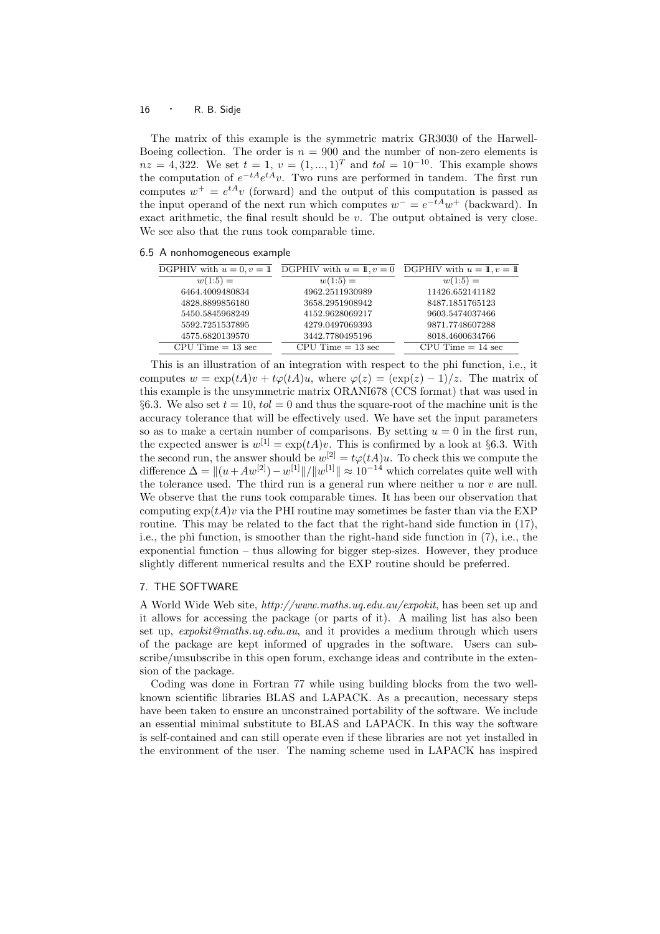The matrix of this example is the symmetric matrix GR3030 of the Harwell-Boeing collection. The order is  $n = 900$  and the number of non-zero elements is  $nz = 4,322$ . We set  $t = 1, v = (1, ..., 1)^T$  and  $tol = 10^{-10}$ . This example shows the computation of  $e^{-tA}e^{tA}v$ . Two runs are performed in tandem. The first run computes  $w^+ = e^{tA}v$  (forward) and the output of this computation is passed as the input operand of the next run which computes  $w^- = e^{-tA}w^+$  (backward). In exact arithmetic, the final result should be v. The output obtained is very close. We see also that the runs took comparable time.

|  | 6.5 A nonhomogeneous example |  |
|--|------------------------------|--|
|  |                              |  |

|                     | DGPHIV with $u = 0, v = 1$ DGPHIV with $u = 1, v = 0$ | DGPHIV with $u = 1, v = 1$ |
|---------------------|-------------------------------------------------------|----------------------------|
| $w(1:5) =$          | $w(1:5) =$                                            | $w(1:5) =$                 |
| 6464.4009480834     | 4962.2511930989                                       | 11426.652141182            |
| 4828.8899856180     | 3658.2951908942                                       | 8487.1851765123            |
| 5450.5845968249     | 4152.9628069217                                       | 9603.5474037466            |
| 5592.7251537895     | 4279.0497069393                                       | 9871.7748607288            |
| 4575.6820139570     | 3442.7780495196                                       | 8018.4600634766            |
| $CPU Time = 13 sec$ | $CPU Time = 13 sec$                                   | $CPU Time = 14 sec$        |

This is an illustration of an integration with respect to the phi function, i.e., it computes  $w = \exp(tA)v + t\varphi(tA)u$ , where  $\varphi(z) = (\exp(z) - 1)/z$ . The matrix of this example is the unsymmetric matrix ORANI678 (CCS format) that was used in §6.3. We also set  $t = 10$ ,  $tol = 0$  and thus the square-root of the machine unit is the accuracy tolerance that will be effectively used. We have set the input parameters so as to make a certain number of comparisons. By setting  $u = 0$  in the first run, the expected answer is  $w^{[1]} = \exp(tA)v$ . This is confirmed by a look at §6.3. With the second run, the answer should be  $w^{[2]} = t\varphi(tA)u$ . To check this we compute the difference  $\Delta = ||(u + Aw^{[2]}) - w^{[1]}||/||w^{[1]}|| \approx 10^{-14}$  which correlates quite well with the tolerance used. The third run is a general run where neither  $u$  nor  $v$  are null. We observe that the runs took comparable times. It has been our observation that computing  $\exp(tA)v$  via the PHI routine may sometimes be faster than via the EXP routine. This may be related to the fact that the right-hand side function in  $(17)$ , i.e., the phi function, is smoother than the right-hand side function in (7), i.e., the exponential function – thus allowing for bigger step-sizes. However, they produce slightly different numerical results and the EXP routine should be preferred.

## 7. THE SOFTWARE

A World Wide Web site, http://www.maths.uq.edu.au/expokit, has been set up and it allows for accessing the package (or parts of it). A mailing list has also been set up, expokit@maths.uq.edu.au, and it provides a medium through which users of the package are kept informed of upgrades in the software. Users can subscribe/unsubscribe in this open forum, exchange ideas and contribute in the extension of the package.

Coding was done in Fortran 77 while using building blocks from the two wellknown scientific libraries BLAS and LAPACK. As a precaution, necessary steps have been taken to ensure an unconstrained portability of the software. We include an essential minimal substitute to BLAS and LAPACK. In this way the software is self-contained and can still operate even if these libraries are not yet installed in the environment of the user. The naming scheme used in LAPACK has inspired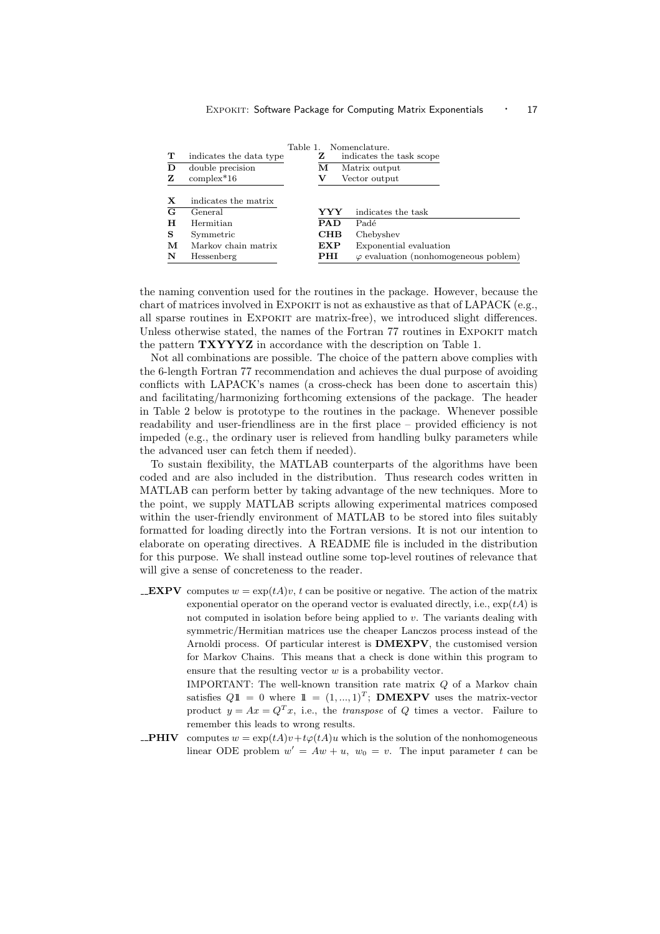|   |                         | Table 1.           |                | Nomenclature.                                |
|---|-------------------------|--------------------|----------------|----------------------------------------------|
| т | indicates the data type |                    | z              | indicates the task scope                     |
| D | double precision        |                    | м              | Matrix output                                |
| z | $complex*16$            | Vector output<br>v |                |                                              |
| X | indicates the matrix    |                    |                |                                              |
| G | General                 |                    | YYY            | indicates the task                           |
| н | Hermitian               |                    | <b>PAD</b>     | Padé                                         |
| s | Symmetric               |                    | CHB            | Chebyshev                                    |
| м | Markov chain matrix     |                    | $\mathbf{EXP}$ | Exponential evaluation                       |
| N | Hessenberg              |                    | PHI            | $\varphi$ evaluation (nonhomogeneous poblem) |

the naming convention used for the routines in the package. However, because the chart of matrices involved in EXPOKIT is not as exhaustive as that of LAPACK (e.g., all sparse routines in EXPOKIT are matrix-free), we introduced slight differences. Unless otherwise stated, the names of the Fortran 77 routines in EXPOKIT match the pattern TXYYYZ in accordance with the description on Table 1.

Not all combinations are possible. The choice of the pattern above complies with the 6-length Fortran 77 recommendation and achieves the dual purpose of avoiding conflicts with LAPACK's names (a cross-check has been done to ascertain this) and facilitating/harmonizing forthcoming extensions of the package. The header in Table 2 below is prototype to the routines in the package. Whenever possible readability and user-friendliness are in the first place – provided efficiency is not impeded (e.g., the ordinary user is relieved from handling bulky parameters while the advanced user can fetch them if needed).

To sustain flexibility, the MATLAB counterparts of the algorithms have been coded and are also included in the distribution. Thus research codes written in MATLAB can perform better by taking advantage of the new techniques. More to the point, we supply MATLAB scripts allowing experimental matrices composed within the user-friendly environment of MATLAB to be stored into files suitably formatted for loading directly into the Fortran versions. It is not our intention to elaborate on operating directives. A README file is included in the distribution for this purpose. We shall instead outline some top-level routines of relevance that will give a sense of concreteness to the reader.

**EXPV** computes  $w = \exp(tA)v$ , t can be positive or negative. The action of the matrix exponential operator on the operand vector is evaluated directly, i.e.,  $\exp(tA)$  is not computed in isolation before being applied to  $v$ . The variants dealing with symmetric/Hermitian matrices use the cheaper Lanczos process instead of the Arnoldi process. Of particular interest is DMEXPV, the customised version for Markov Chains. This means that a check is done within this program to ensure that the resulting vector  $w$  is a probability vector.

> IMPORTANT: The well-known transition rate matrix Q of a Markov chain satisfies  $Q1 \equiv 0$  where  $1 \equiv (1, ..., 1)^T$ ; **DMEXPV** uses the matrix-vector product  $y = Ax = Q^T x$ , i.e., the *transpose* of Q times a vector. Failure to remember this leads to wrong results.

**\_PHIV** computes  $w = \exp(tA)v + t\varphi(tA)u$  which is the solution of the nonhomogeneous linear ODE problem  $w' = Aw + u$ ,  $w_0 = v$ . The input parameter t can be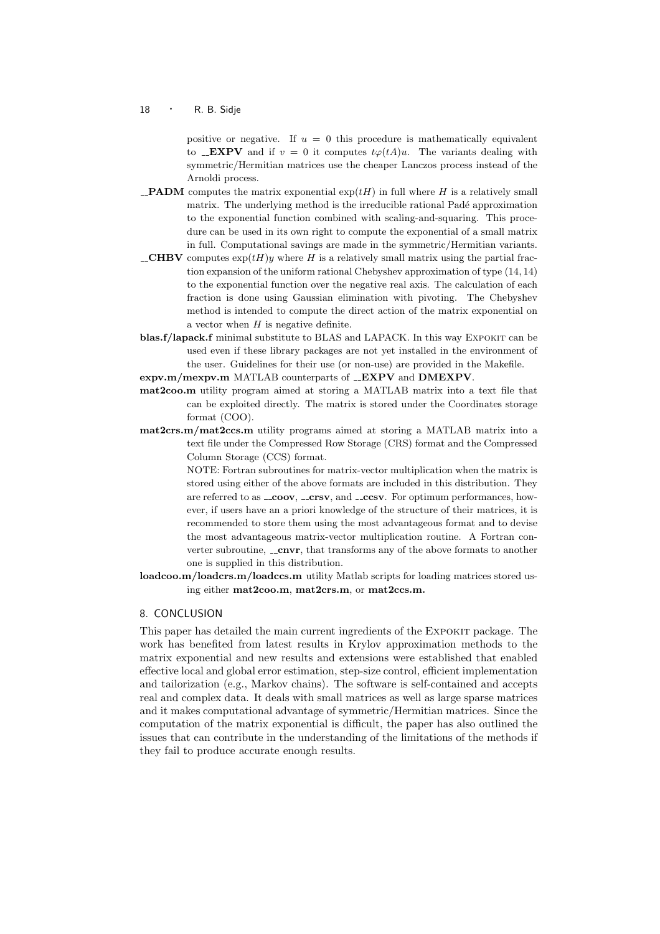positive or negative. If  $u = 0$  this procedure is mathematically equivalent to \_**EXPV** and if  $v = 0$  it computes  $t\varphi(tA)u$ . The variants dealing with symmetric/Hermitian matrices use the cheaper Lanczos process instead of the Arnoldi process.

- **PADM** computes the matrix exponential  $exp(tH)$  in full where H is a relatively small matrix. The underlying method is the irreducible rational Padé approximation to the exponential function combined with scaling-and-squaring. This procedure can be used in its own right to compute the exponential of a small matrix in full. Computational savings are made in the symmetric/Hermitian variants.
- **\_CHBV** computes  $exp(tH)y$  where H is a relatively small matrix using the partial fraction expansion of the uniform rational Chebyshev approximation of type (14, 14) to the exponential function over the negative real axis. The calculation of each fraction is done using Gaussian elimination with pivoting. The Chebyshev method is intended to compute the direct action of the matrix exponential on a vector when  $H$  is negative definite.
- blas.f/lapack.f minimal substitute to BLAS and LAPACK. In this way EXPOKIT can be used even if these library packages are not yet installed in the environment of the user. Guidelines for their use (or non-use) are provided in the Makefile.
- expv.m/mexpv.m MATLAB counterparts of \_EXPV and DMEXPV.
- mat2coo.m utility program aimed at storing a MATLAB matrix into a text file that can be exploited directly. The matrix is stored under the Coordinates storage format (COO).
- mat2crs.m/mat2ccs.m utility programs aimed at storing a MATLAB matrix into a text file under the Compressed Row Storage (CRS) format and the Compressed Column Storage (CCS) format.

NOTE: Fortran subroutines for matrix-vector multiplication when the matrix is stored using either of the above formats are included in this distribution. They are referred to as  $\text{\textcolor{red}{\texttt{...cors}}v}$ , and  $\text{\textcolor{red}{\texttt{...cors}}v}$ . For optimum performances, however, if users have an a priori knowledge of the structure of their matrices, it is recommended to store them using the most advantageous format and to devise the most advantageous matrix-vector multiplication routine. A Fortran converter subroutine,  $\equiv$  cnvr, that transforms any of the above formats to another one is supplied in this distribution.

loadcoo.m/loadcrs.m/loadccs.m utility Matlab scripts for loading matrices stored using either mat2coo.m, mat2crs.m, or mat2ccs.m.

# 8. CONCLUSION

This paper has detailed the main current ingredients of the Expokit package. The work has benefited from latest results in Krylov approximation methods to the matrix exponential and new results and extensions were established that enabled effective local and global error estimation, step-size control, efficient implementation and tailorization (e.g., Markov chains). The software is self-contained and accepts real and complex data. It deals with small matrices as well as large sparse matrices and it makes computational advantage of symmetric/Hermitian matrices. Since the computation of the matrix exponential is difficult, the paper has also outlined the issues that can contribute in the understanding of the limitations of the methods if they fail to produce accurate enough results.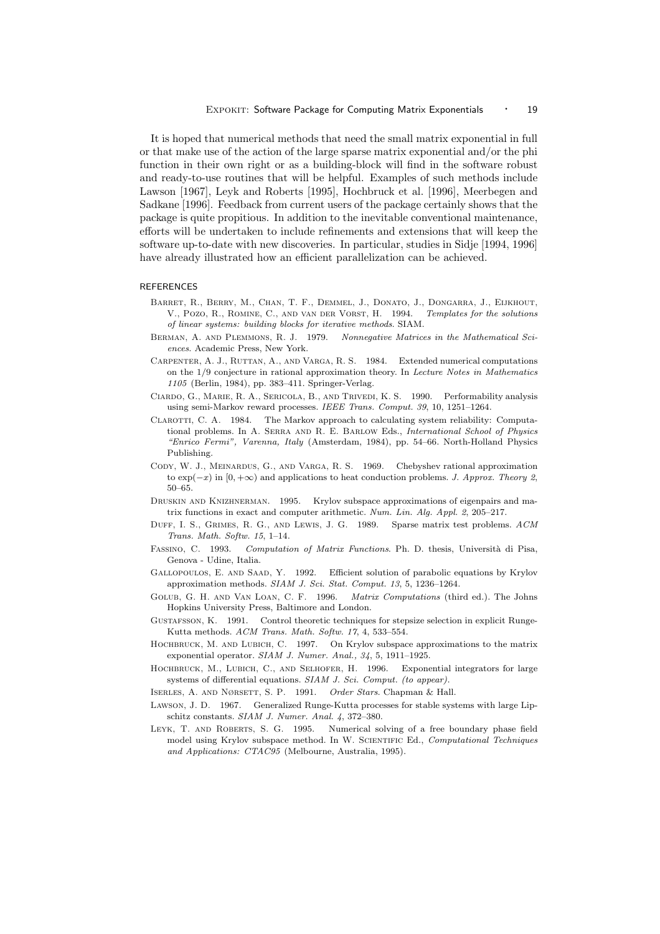It is hoped that numerical methods that need the small matrix exponential in full or that make use of the action of the large sparse matrix exponential and/or the phi function in their own right or as a building-block will find in the software robust and ready-to-use routines that will be helpful. Examples of such methods include Lawson [1967], Leyk and Roberts [1995], Hochbruck et al. [1996], Meerbegen and Sadkane [1996]. Feedback from current users of the package certainly shows that the package is quite propitious. In addition to the inevitable conventional maintenance, efforts will be undertaken to include refinements and extensions that will keep the software up-to-date with new discoveries. In particular, studies in Sidje [1994, 1996] have already illustrated how an efficient parallelization can be achieved.

#### REFERENCES

- BARRET, R., BERRY, M., CHAN, T. F., DEMMEL, J., DONATO, J., DONGARRA, J., ELJKHOUT, V., Pozo, R., Romine, C., and van der Vorst, H. 1994. Templates for the solutions of linear systems: building blocks for iterative methods. SIAM.
- BERMAN. A. AND PLEMMONS, R. J. 1979. Nonnegative Matrices in the Mathematical Sciences. Academic Press, New York.
- Carpenter, A. J., Ruttan, A., and Varga, R. S. 1984. Extended numerical computations on the 1/9 conjecture in rational approximation theory. In Lecture Notes in Mathematics 1105 (Berlin, 1984), pp. 383–411. Springer-Verlag.
- Ciardo, G., Marie, R. A., Sericola, B., and Trivedi, K. S. 1990. Performability analysis using semi-Markov reward processes. IEEE Trans. Comput. 39, 10, 1251–1264.
- Clarotti, C. A. 1984. The Markov approach to calculating system reliability: Computational problems. In A. Serra and R. E. Barlow Eds., International School of Physics "Enrico Fermi", Varenna, Italy (Amsterdam, 1984), pp. 54–66. North-Holland Physics Publishing.
- Cody, W. J., Meinardus, G., and Varga, R. S. 1969. Chebyshev rational approximation to  $\exp(-x)$  in  $[0, +\infty)$  and applications to heat conduction problems. *J. Approx. Theory 2*, 50–65.
- Druskin and Knizhnerman. 1995. Krylov subspace approximations of eigenpairs and matrix functions in exact and computer arithmetic. Num. Lin. Alg. Appl. 2, 205–217.
- DUFF, I. S., GRIMES, R. G., AND LEWIS, J. G. 1989. Sparse matrix test problems. ACM Trans. Math. Softw. 15, 1–14.
- FASSINO, C. 1993. Computation of Matrix Functions. Ph. D. thesis, Università di Pisa, Genova - Udine, Italia.
- GALLOPOULOS, E. AND SAAD, Y. 1992. Efficient solution of parabolic equations by Krylov approximation methods. SIAM J. Sci. Stat. Comput. 13, 5, 1236–1264.
- Golub, G. H. and Van Loan, C. F. 1996. Matrix Computations (third ed.). The Johns Hopkins University Press, Baltimore and London.
- Gustafsson, K. 1991. Control theoretic techniques for stepsize selection in explicit Runge-Kutta methods. ACM Trans. Math. Softw. 17, 4, 533–554.
- HOCHBRUCK, M. AND LUBICH, C. 1997. On Krylov subspace approximations to the matrix exponential operator. SIAM J. Numer. Anal., 34, 5, 1911–1925.
- HOCHBRUCK, M., LUBICH, C., AND SELHOFER, H. 1996. Exponential integrators for large systems of differential equations. SIAM J. Sci. Comput. (to appear).
- ISERLES, A. AND NØRSETT, S. P. 1991. Order Stars. Chapman & Hall.
- Lawson, J. D. 1967. Generalized Runge-Kutta processes for stable systems with large Lipschitz constants. SIAM J. Numer. Anal. 4, 372–380.
- Leyk, T. and Roberts, S. G. 1995. Numerical solving of a free boundary phase field model using Krylov subspace method. In W. Scientific Ed., Computational Techniques and Applications: CTAC95 (Melbourne, Australia, 1995).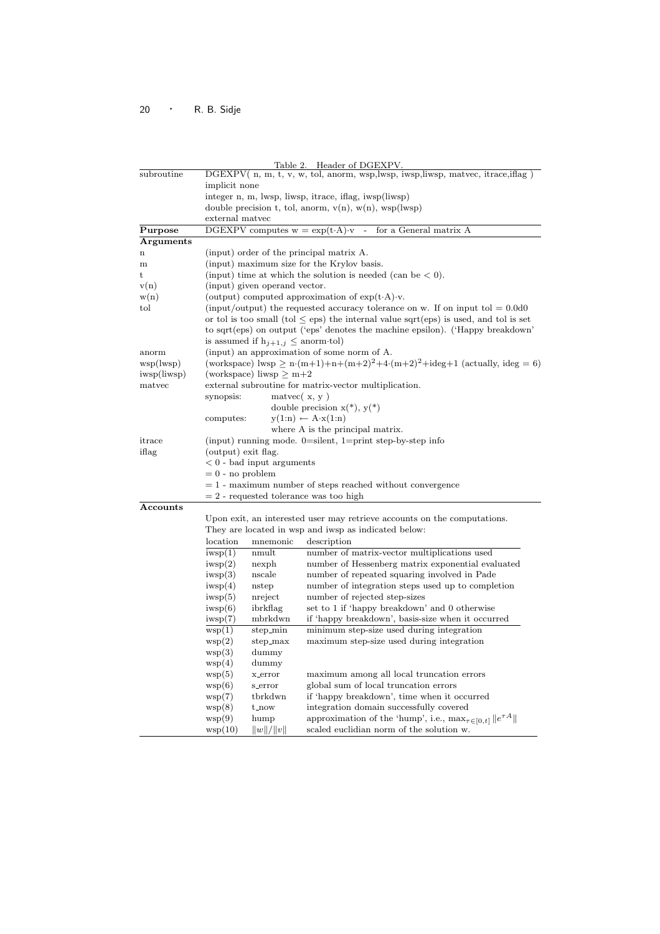| Table 2. Header of DGEXPV. |                                                                                        |                                                                                                              |  |
|----------------------------|----------------------------------------------------------------------------------------|--------------------------------------------------------------------------------------------------------------|--|
| subroutine                 | DGEXPV(n, m, t, v, w, tol, anorm, wsp,lwsp, iwsp,liwsp, matvec, itrace, if ag)         |                                                                                                              |  |
|                            | implicit none                                                                          |                                                                                                              |  |
|                            | integer n, m, lwsp, liwsp, itrace, iflag, iwsp(liwsp)                                  |                                                                                                              |  |
|                            | double precision t, tol, anorm, $v(n)$ , $w(n)$ , $wsp(lwsp)$                          |                                                                                                              |  |
|                            | external matvec                                                                        |                                                                                                              |  |
| Purpose                    | DGEXPV computes $w = \exp(t \cdot A) \cdot v$                                          | for a General matrix A                                                                                       |  |
| <b>Arguments</b>           |                                                                                        |                                                                                                              |  |
| $\mathbf n$                | (input) order of the principal matrix A.                                               |                                                                                                              |  |
| m                          | (input) maximum size for the Krylov basis.                                             |                                                                                                              |  |
| t                          | (input) time at which the solution is needed (can be $< 0$ ).                          |                                                                                                              |  |
| v(n)                       | (input) given operand vector.                                                          |                                                                                                              |  |
| w(n)                       | (output) computed approximation of $\exp(t \cdot A) \cdot v$ .                         |                                                                                                              |  |
| tol                        |                                                                                        | (input/output) the requested accuracy tolerance on w. If on input to $= 0.000$                               |  |
|                            |                                                                                        | or tol is too small (tol $\leq$ eps) the internal value sqrt(eps) is used, and tol is set                    |  |
|                            |                                                                                        | to sqrt(eps) on output ('eps' denotes the machine epsilon). ('Happy breakdown'                               |  |
|                            | is assumed if $h_{j+1,j} \leq \text{anorm-tol}$                                        |                                                                                                              |  |
| anorm                      | (input) an approximation of some norm of A.                                            |                                                                                                              |  |
| wsp(lwsp)                  |                                                                                        | (workspace) lwsp $\geq n \cdot (m+1) + n + (m+2)^2 + 4 \cdot (m+2)^2 + \text{ideg} + 1$ (actually, ideg = 6) |  |
| iwsp(liwsp)                | (workspace) liwsp $\geq m{+}2$                                                         |                                                                                                              |  |
| matyec                     | external subroutine for matrix-vector multiplication.                                  |                                                                                                              |  |
|                            | synopsis:<br>$m$ atvec $(x, y)$                                                        |                                                                                                              |  |
|                            | double precision $x(*), y(*)$                                                          |                                                                                                              |  |
|                            | $y(1:n) \leftarrow A \cdot x(1:n)$<br>computes:                                        |                                                                                                              |  |
|                            |                                                                                        | where A is the principal matrix.                                                                             |  |
| itrace                     |                                                                                        |                                                                                                              |  |
| iflag                      | (input) running mode. $0=$ silent, $1=$ print step-by-step info<br>(output) exit flag. |                                                                                                              |  |
|                            | $< 0$ - bad input arguments                                                            |                                                                                                              |  |
|                            | $= 0$ - no problem                                                                     |                                                                                                              |  |
|                            | $= 1$ - maximum number of steps reached without convergence                            |                                                                                                              |  |
|                            | $= 2$ - requested tolerance was too high                                               |                                                                                                              |  |
| Accounts                   |                                                                                        |                                                                                                              |  |
|                            |                                                                                        | Upon exit, an interested user may retrieve accounts on the computations.                                     |  |
|                            | They are located in wsp and iwsp as indicated below:                                   |                                                                                                              |  |
|                            | location<br>mnemonic                                                                   | description                                                                                                  |  |
|                            | iwp(1)<br>nmult                                                                        | number of matrix-vector multiplications used                                                                 |  |
|                            | iwp(2)<br>nexph                                                                        | number of Hessenberg matrix exponential evaluated                                                            |  |
|                            | iwp(3)<br>nscale                                                                       | number of repeated squaring involved in Pade                                                                 |  |
|                            | iwp(4)<br>nstep                                                                        | number of integration steps used up to completion                                                            |  |
|                            | iwp(5)<br>nreject                                                                      | number of rejected step-sizes                                                                                |  |
|                            | ibrkflag<br>iwp(6)                                                                     | set to 1 if 'happy breakdown' and 0 otherwise                                                                |  |
|                            | iwp(7)<br>mbrkdwn                                                                      | if 'happy breakdown', basis-size when it occurred                                                            |  |
|                            | $step\_min$<br>wsp(1)                                                                  | minimum step-size used during integration                                                                    |  |
|                            | wsp(2)<br>step_max                                                                     | maximum step-size used during integration                                                                    |  |
|                            | dummy<br>wsp(3)                                                                        |                                                                                                              |  |
|                            | wsp(4)<br>dummy                                                                        |                                                                                                              |  |
|                            | wsp(5)<br>x_error                                                                      | maximum among all local truncation errors                                                                    |  |
|                            | wsp(6)<br>$\operatorname{s\_error}$                                                    | global sum of local truncation errors                                                                        |  |
|                            | tbrkdwn<br>wsp(7)                                                                      | if 'happy breakdown', time when it occurred                                                                  |  |
|                            | wsp(8)<br>t_now                                                                        | integration domain successfully covered                                                                      |  |
|                            |                                                                                        | approximation of the 'hump', i.e., $\max_{\tau \in [0,t]}   e^{\tau A}  $                                    |  |
|                            | wsp(9)<br>hump                                                                         |                                                                                                              |  |
|                            | wsp(10)<br>  w  /  v                                                                   | scaled euclidian norm of the solution w.                                                                     |  |